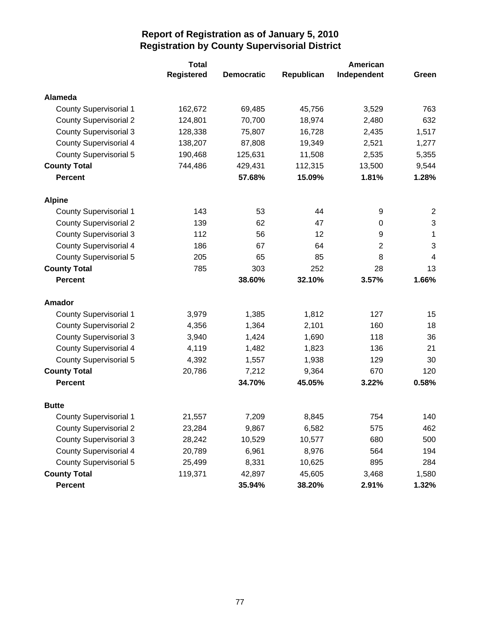|                               | <b>Total</b>      |                   |            | <b>American</b> |                |
|-------------------------------|-------------------|-------------------|------------|-----------------|----------------|
|                               | <b>Registered</b> | <b>Democratic</b> | Republican | Independent     | Green          |
| <b>Alameda</b>                |                   |                   |            |                 |                |
| <b>County Supervisorial 1</b> | 162,672           | 69,485            | 45,756     | 3,529           | 763            |
| <b>County Supervisorial 2</b> | 124,801           | 70,700            | 18,974     | 2,480           | 632            |
| <b>County Supervisorial 3</b> | 128,338           | 75,807            | 16,728     | 2,435           | 1,517          |
| <b>County Supervisorial 4</b> | 138,207           | 87,808            | 19,349     | 2,521           | 1,277          |
| <b>County Supervisorial 5</b> | 190,468           | 125,631           | 11,508     | 2,535           | 5,355          |
| <b>County Total</b>           | 744,486           | 429,431           | 112,315    | 13,500          | 9,544          |
| <b>Percent</b>                |                   | 57.68%            | 15.09%     | 1.81%           | 1.28%          |
| <b>Alpine</b>                 |                   |                   |            |                 |                |
| <b>County Supervisorial 1</b> | 143               | 53                | 44         | 9               | $\overline{2}$ |
| <b>County Supervisorial 2</b> | 139               | 62                | 47         | 0               | $\sqrt{3}$     |
| <b>County Supervisorial 3</b> | 112               | 56                | 12         | 9               | 1              |
| <b>County Supervisorial 4</b> | 186               | 67                | 64         | $\overline{2}$  | 3              |
| <b>County Supervisorial 5</b> | 205               | 65                | 85         | 8               | 4              |
| <b>County Total</b>           | 785               | 303               | 252        | 28              | 13             |
| <b>Percent</b>                |                   | 38.60%            | 32.10%     | 3.57%           | 1.66%          |
| Amador                        |                   |                   |            |                 |                |
| <b>County Supervisorial 1</b> | 3,979             | 1,385             | 1,812      | 127             | 15             |
| <b>County Supervisorial 2</b> | 4,356             | 1,364             | 2,101      | 160             | 18             |
| <b>County Supervisorial 3</b> | 3,940             | 1,424             | 1,690      | 118             | 36             |
| <b>County Supervisorial 4</b> | 4,119             | 1,482             | 1,823      | 136             | 21             |
| <b>County Supervisorial 5</b> | 4,392             | 1,557             | 1,938      | 129             | 30             |
| <b>County Total</b>           | 20,786            | 7,212             | 9,364      | 670             | 120            |
| <b>Percent</b>                |                   | 34.70%            | 45.05%     | 3.22%           | 0.58%          |
| <b>Butte</b>                  |                   |                   |            |                 |                |
| <b>County Supervisorial 1</b> | 21,557            | 7,209             | 8,845      | 754             | 140            |
| <b>County Supervisorial 2</b> | 23,284            | 9,867             | 6,582      | 575             | 462            |
| <b>County Supervisorial 3</b> | 28,242            | 10,529            | 10,577     | 680             | 500            |
| <b>County Supervisorial 4</b> | 20,789            | 6,961             | 8,976      | 564             | 194            |
| <b>County Supervisorial 5</b> | 25,499            | 8,331             | 10,625     | 895             | 284            |
| <b>County Total</b>           | 119,371           | 42,897            | 45,605     | 3,468           | 1,580          |
| Percent                       |                   | 35.94%            | 38.20%     | 2.91%           | 1.32%          |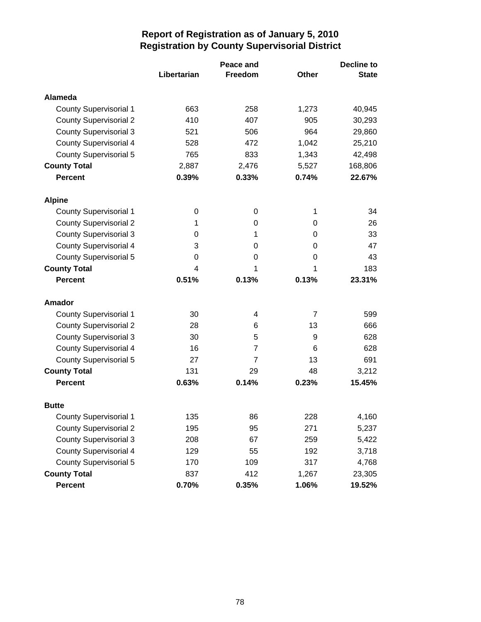|                               |             | Peace and      |                | <b>Decline to</b> |  |
|-------------------------------|-------------|----------------|----------------|-------------------|--|
|                               | Libertarian | <b>Freedom</b> | <b>Other</b>   | <b>State</b>      |  |
| Alameda                       |             |                |                |                   |  |
| <b>County Supervisorial 1</b> | 663         | 258            | 1,273          | 40,945            |  |
| <b>County Supervisorial 2</b> | 410         | 407            | 905            | 30,293            |  |
| <b>County Supervisorial 3</b> | 521         | 506            | 964            | 29,860            |  |
| <b>County Supervisorial 4</b> | 528         | 472            | 1,042          | 25,210            |  |
| County Supervisorial 5        | 765         | 833            | 1,343          | 42,498            |  |
| <b>County Total</b>           | 2,887       | 2,476          | 5,527          | 168,806           |  |
| <b>Percent</b>                | 0.39%       | 0.33%          | 0.74%          | 22.67%            |  |
| <b>Alpine</b>                 |             |                |                |                   |  |
| <b>County Supervisorial 1</b> | 0           | 0              | 1              | 34                |  |
| <b>County Supervisorial 2</b> | 1           | 0              | 0              | 26                |  |
| <b>County Supervisorial 3</b> | 0           | 1              | 0              | 33                |  |
| <b>County Supervisorial 4</b> | 3           | 0              | 0              | 47                |  |
| <b>County Supervisorial 5</b> | 0           | 0              | 0              | 43                |  |
| <b>County Total</b>           | 4           | 1              | 1              | 183               |  |
| <b>Percent</b>                | 0.51%       | 0.13%          | 0.13%          | 23.31%            |  |
| Amador                        |             |                |                |                   |  |
| <b>County Supervisorial 1</b> | 30          | 4              | $\overline{7}$ | 599               |  |
| <b>County Supervisorial 2</b> | 28          | 6              | 13             | 666               |  |
| <b>County Supervisorial 3</b> | 30          | 5              | 9              | 628               |  |
| <b>County Supervisorial 4</b> | 16          | 7              | 6              | 628               |  |
| <b>County Supervisorial 5</b> | 27          | $\overline{7}$ | 13             | 691               |  |
| <b>County Total</b>           | 131         | 29             | 48             | 3,212             |  |
| <b>Percent</b>                | 0.63%       | 0.14%          | 0.23%          | 15.45%            |  |
| <b>Butte</b>                  |             |                |                |                   |  |
| <b>County Supervisorial 1</b> | 135         | 86             | 228            | 4,160             |  |
| <b>County Supervisorial 2</b> | 195         | 95             | 271            | 5,237             |  |
| <b>County Supervisorial 3</b> | 208         | 67             | 259            | 5,422             |  |
| <b>County Supervisorial 4</b> | 129         | 55             | 192            | 3,718             |  |
| <b>County Supervisorial 5</b> | 170         | 109            | 317            | 4,768             |  |
| <b>County Total</b>           | 837         | 412            | 1,267          | 23,305            |  |
| <b>Percent</b>                | 0.70%       | 0.35%          | 1.06%          | 19.52%            |  |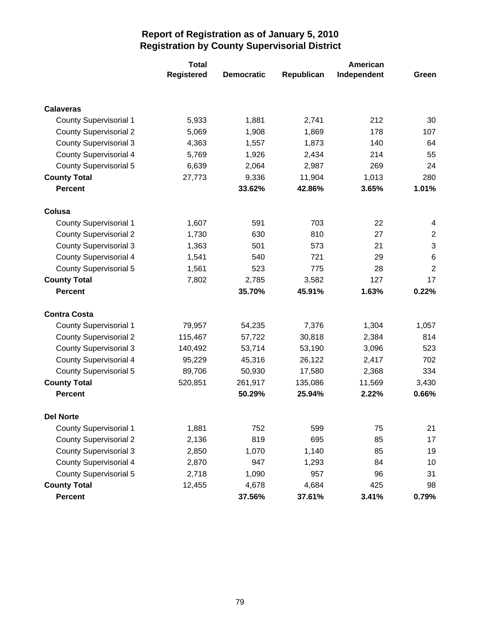|                               | <b>Total</b>      |                   |            | American    |                 |  |
|-------------------------------|-------------------|-------------------|------------|-------------|-----------------|--|
|                               | <b>Registered</b> | <b>Democratic</b> | Republican | Independent | Green           |  |
|                               |                   |                   |            |             |                 |  |
| <b>Calaveras</b>              |                   |                   |            |             |                 |  |
| <b>County Supervisorial 1</b> | 5,933             | 1,881             | 2,741      | 212         | 30              |  |
| <b>County Supervisorial 2</b> | 5,069             | 1,908             | 1,869      | 178         | 107             |  |
| <b>County Supervisorial 3</b> | 4,363             | 1,557             | 1,873      | 140         | 64              |  |
| <b>County Supervisorial 4</b> | 5,769             | 1,926             | 2,434      | 214         | 55              |  |
| <b>County Supervisorial 5</b> | 6,639             | 2,064             | 2,987      | 269         | 24              |  |
| <b>County Total</b>           | 27,773            | 9,336             | 11,904     | 1,013       | 280             |  |
| <b>Percent</b>                |                   | 33.62%            | 42.86%     | 3.65%       | 1.01%           |  |
| Colusa                        |                   |                   |            |             |                 |  |
| <b>County Supervisorial 1</b> | 1,607             | 591               | 703        | 22          | 4               |  |
| <b>County Supervisorial 2</b> | 1,730             | 630               | 810        | 27          | $\mathbf{2}$    |  |
| <b>County Supervisorial 3</b> | 1,363             | 501               | 573        | 21          | $\mathbf{3}$    |  |
| <b>County Supervisorial 4</b> | 1,541             | 540               | 721        | 29          | $6\phantom{1}6$ |  |
| <b>County Supervisorial 5</b> | 1,561             | 523               | 775        | 28          | $\overline{2}$  |  |
| <b>County Total</b>           | 7,802             | 2,785             | 3,582      | 127         | 17              |  |
| <b>Percent</b>                |                   | 35.70%            | 45.91%     | 1.63%       | 0.22%           |  |
| <b>Contra Costa</b>           |                   |                   |            |             |                 |  |
| <b>County Supervisorial 1</b> | 79,957            | 54,235            | 7,376      | 1,304       | 1,057           |  |
| <b>County Supervisorial 2</b> | 115,467           | 57,722            | 30,818     | 2,384       | 814             |  |
| <b>County Supervisorial 3</b> | 140,492           | 53,714            | 53,190     | 3,096       | 523             |  |
| <b>County Supervisorial 4</b> | 95,229            | 45,316            | 26,122     | 2,417       | 702             |  |
| <b>County Supervisorial 5</b> | 89,706            | 50,930            | 17,580     | 2,368       | 334             |  |
| <b>County Total</b>           | 520,851           | 261,917           | 135,086    | 11,569      | 3,430           |  |
| <b>Percent</b>                |                   | 50.29%            | 25.94%     | 2.22%       | 0.66%           |  |
| <b>Del Norte</b>              |                   |                   |            |             |                 |  |
| <b>County Supervisorial 1</b> | 1,881             | 752               | 599        | 75          | 21              |  |
| <b>County Supervisorial 2</b> | 2,136             | 819               | 695        | 85          | 17              |  |
| <b>County Supervisorial 3</b> | 2,850             | 1,070             | 1,140      | 85          | 19              |  |
| County Supervisorial 4        | 2,870             | 947               | 1,293      | 84          | 10              |  |
| <b>County Supervisorial 5</b> | 2,718             | 1,090             | 957        | 96          | 31              |  |
| <b>County Total</b>           | 12,455            | 4,678             | 4,684      | 425         | 98              |  |
| <b>Percent</b>                |                   | 37.56%            | 37.61%     | 3.41%       | 0.79%           |  |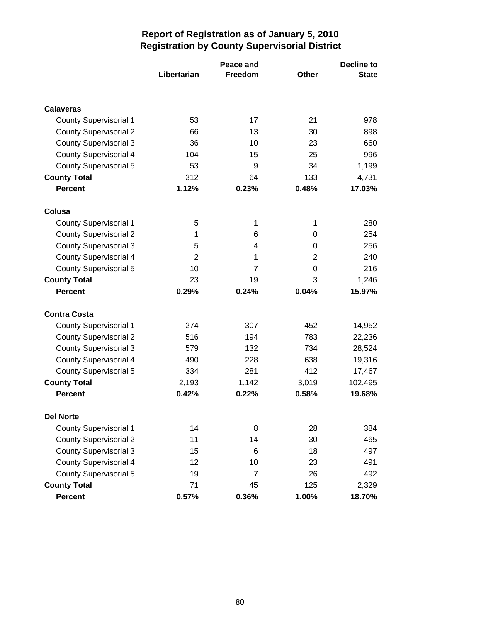|                               |                | Peace and      | <b>Decline to</b> |              |  |
|-------------------------------|----------------|----------------|-------------------|--------------|--|
|                               | Libertarian    | Freedom        | <b>Other</b>      | <b>State</b> |  |
|                               |                |                |                   |              |  |
| <b>Calaveras</b>              |                |                |                   |              |  |
| <b>County Supervisorial 1</b> | 53             | 17             | 21                | 978          |  |
| <b>County Supervisorial 2</b> | 66             | 13             | 30                | 898          |  |
| <b>County Supervisorial 3</b> | 36             | 10             | 23                | 660          |  |
| <b>County Supervisorial 4</b> | 104            | 15             | 25                | 996          |  |
| <b>County Supervisorial 5</b> | 53             | 9              | 34                | 1,199        |  |
| <b>County Total</b>           | 312            | 64             | 133               | 4,731        |  |
| <b>Percent</b>                | 1.12%          | 0.23%          | 0.48%             | 17.03%       |  |
| Colusa                        |                |                |                   |              |  |
| <b>County Supervisorial 1</b> | 5              | 1              | 1                 | 280          |  |
| <b>County Supervisorial 2</b> | 1              | 6              | 0                 | 254          |  |
| <b>County Supervisorial 3</b> | 5              | 4              | 0                 | 256          |  |
| <b>County Supervisorial 4</b> | $\overline{2}$ | 1              | 2                 | 240          |  |
| <b>County Supervisorial 5</b> | 10             | 7              | 0                 | 216          |  |
| <b>County Total</b>           | 23             | 19             | 3                 | 1,246        |  |
| <b>Percent</b>                | 0.29%          | 0.24%          | 0.04%             | 15.97%       |  |
| <b>Contra Costa</b>           |                |                |                   |              |  |
| <b>County Supervisorial 1</b> | 274            | 307            | 452               | 14,952       |  |
| <b>County Supervisorial 2</b> | 516            | 194            | 783               | 22,236       |  |
| <b>County Supervisorial 3</b> | 579            | 132            | 734               | 28,524       |  |
| <b>County Supervisorial 4</b> | 490            | 228            | 638               | 19,316       |  |
| <b>County Supervisorial 5</b> | 334            | 281            | 412               | 17,467       |  |
| <b>County Total</b>           | 2,193          | 1,142          | 3,019             | 102,495      |  |
| <b>Percent</b>                | 0.42%          | 0.22%          | 0.58%             | 19.68%       |  |
| <b>Del Norte</b>              |                |                |                   |              |  |
| <b>County Supervisorial 1</b> | 14             | 8              | 28                | 384          |  |
| <b>County Supervisorial 2</b> | 11             | 14             | 30                | 465          |  |
| <b>County Supervisorial 3</b> | 15             | 6              | 18                | 497          |  |
| <b>County Supervisorial 4</b> | 12             | 10             | 23                | 491          |  |
| <b>County Supervisorial 5</b> | 19             | $\overline{7}$ | 26                | 492          |  |
| <b>County Total</b>           | 71             | 45             | 125               | 2,329        |  |
| <b>Percent</b>                | 0.57%          | 0.36%          | 1.00%             | 18.70%       |  |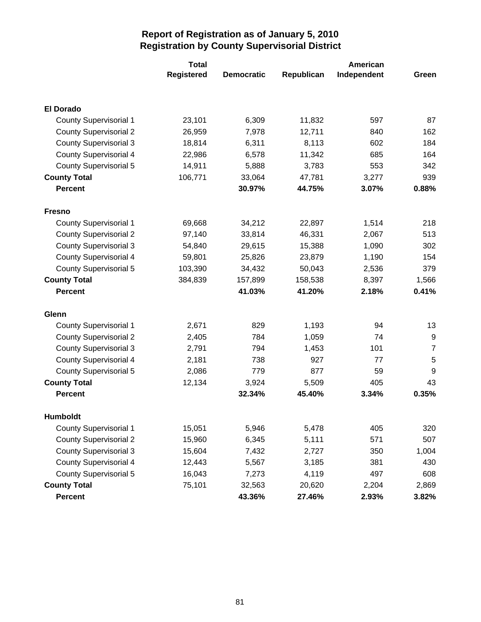|                               | <b>Total</b>      |                   |            | American    |                  |
|-------------------------------|-------------------|-------------------|------------|-------------|------------------|
|                               | <b>Registered</b> | <b>Democratic</b> | Republican | Independent | Green            |
|                               |                   |                   |            |             |                  |
| <b>El Dorado</b>              |                   |                   |            |             |                  |
| <b>County Supervisorial 1</b> | 23,101            | 6,309             | 11,832     | 597         | 87               |
| <b>County Supervisorial 2</b> | 26,959            | 7,978             | 12,711     | 840         | 162              |
| <b>County Supervisorial 3</b> | 18,814            | 6,311             | 8,113      | 602         | 184              |
| <b>County Supervisorial 4</b> | 22,986            | 6,578             | 11,342     | 685         | 164              |
| <b>County Supervisorial 5</b> | 14,911            | 5,888             | 3,783      | 553         | 342              |
| <b>County Total</b>           | 106,771           | 33,064            | 47,781     | 3,277       | 939              |
| <b>Percent</b>                |                   | 30.97%            | 44.75%     | 3.07%       | 0.88%            |
| <b>Fresno</b>                 |                   |                   |            |             |                  |
| <b>County Supervisorial 1</b> | 69,668            | 34,212            | 22,897     | 1,514       | 218              |
| <b>County Supervisorial 2</b> | 97,140            | 33,814            | 46,331     | 2,067       | 513              |
| <b>County Supervisorial 3</b> | 54,840            | 29,615            | 15,388     | 1,090       | 302              |
| <b>County Supervisorial 4</b> | 59,801            | 25,826            | 23,879     | 1,190       | 154              |
| <b>County Supervisorial 5</b> | 103,390           | 34,432            | 50,043     | 2,536       | 379              |
| <b>County Total</b>           | 384,839           | 157,899           | 158,538    | 8,397       | 1,566            |
| <b>Percent</b>                |                   | 41.03%            | 41.20%     | 2.18%       | 0.41%            |
| Glenn                         |                   |                   |            |             |                  |
| <b>County Supervisorial 1</b> | 2,671             | 829               | 1,193      | 94          | 13               |
| <b>County Supervisorial 2</b> | 2,405             | 784               | 1,059      | 74          | $\boldsymbol{9}$ |
| <b>County Supervisorial 3</b> | 2,791             | 794               | 1,453      | 101         | $\overline{7}$   |
| <b>County Supervisorial 4</b> | 2,181             | 738               | 927        | 77          | 5                |
| <b>County Supervisorial 5</b> | 2,086             | 779               | 877        | 59          | $9\,$            |
| <b>County Total</b>           | 12,134            | 3,924             | 5,509      | 405         | 43               |
| <b>Percent</b>                |                   | 32.34%            | 45.40%     | 3.34%       | 0.35%            |
| Humboldt                      |                   |                   |            |             |                  |
| <b>County Supervisorial 1</b> | 15,051            | 5,946             | 5,478      | 405         | 320              |
| <b>County Supervisorial 2</b> | 15,960            | 6,345             | 5,111      | 571         | 507              |
| <b>County Supervisorial 3</b> | 15,604            | 7,432             | 2,727      | 350         | 1,004            |
| <b>County Supervisorial 4</b> | 12,443            | 5,567             | 3,185      | 381         | 430              |
| <b>County Supervisorial 5</b> | 16,043            | 7,273             | 4,119      | 497         | 608              |
| <b>County Total</b>           | 75,101            | 32,563            | 20,620     | 2,204       | 2,869            |
| <b>Percent</b>                |                   | 43.36%            | 27.46%     | 2.93%       | 3.82%            |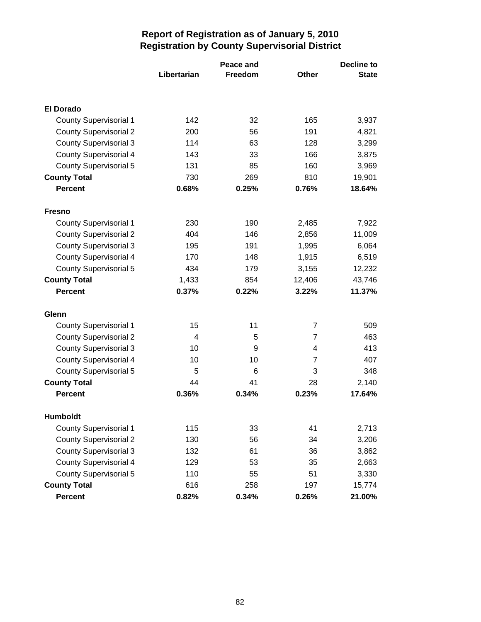|                               |             | Peace and      | <b>Decline to</b> |              |  |
|-------------------------------|-------------|----------------|-------------------|--------------|--|
|                               | Libertarian | <b>Freedom</b> | Other             | <b>State</b> |  |
|                               |             |                |                   |              |  |
| <b>El Dorado</b>              |             |                |                   |              |  |
| <b>County Supervisorial 1</b> | 142         | 32             | 165               | 3,937        |  |
| <b>County Supervisorial 2</b> | 200         | 56             | 191               | 4,821        |  |
| <b>County Supervisorial 3</b> | 114         | 63             | 128               | 3,299        |  |
| <b>County Supervisorial 4</b> | 143         | 33             | 166               | 3,875        |  |
| <b>County Supervisorial 5</b> | 131         | 85             | 160               | 3,969        |  |
| <b>County Total</b>           | 730         | 269            | 810               | 19,901       |  |
| <b>Percent</b>                | 0.68%       | 0.25%          | 0.76%             | 18.64%       |  |
| Fresno                        |             |                |                   |              |  |
| <b>County Supervisorial 1</b> | 230         | 190            | 2,485             | 7,922        |  |
| <b>County Supervisorial 2</b> | 404         | 146            | 2,856             | 11,009       |  |
| <b>County Supervisorial 3</b> | 195         | 191            | 1,995             | 6,064        |  |
| <b>County Supervisorial 4</b> | 170         | 148            | 1,915             | 6,519        |  |
| <b>County Supervisorial 5</b> | 434         | 179            | 3,155             | 12,232       |  |
| <b>County Total</b>           | 1,433       | 854            | 12,406            | 43,746       |  |
| <b>Percent</b>                | 0.37%       | 0.22%          | 3.22%             | 11.37%       |  |
| Glenn                         |             |                |                   |              |  |
| <b>County Supervisorial 1</b> | 15          | 11             | 7                 | 509          |  |
| <b>County Supervisorial 2</b> | 4           | 5              | $\overline{7}$    | 463          |  |
| <b>County Supervisorial 3</b> | 10          | 9              | 4                 | 413          |  |
| <b>County Supervisorial 4</b> | 10          | 10             | $\overline{7}$    | 407          |  |
| <b>County Supervisorial 5</b> | 5           | 6              | 3                 | 348          |  |
| <b>County Total</b>           | 44          | 41             | 28                | 2,140        |  |
| <b>Percent</b>                | 0.36%       | 0.34%          | 0.23%             | 17.64%       |  |
| <b>Humboldt</b>               |             |                |                   |              |  |
| <b>County Supervisorial 1</b> | 115         | 33             | 41                | 2,713        |  |
| <b>County Supervisorial 2</b> | 130         | 56             | 34                | 3,206        |  |
| <b>County Supervisorial 3</b> | 132         | 61             | 36                | 3,862        |  |
| <b>County Supervisorial 4</b> | 129         | 53             | 35                | 2,663        |  |
| <b>County Supervisorial 5</b> | 110         | 55             | 51                | 3,330        |  |
| <b>County Total</b>           | 616         | 258            | 197               | 15,774       |  |
| <b>Percent</b>                | 0.82%       | 0.34%          | 0.26%             | 21.00%       |  |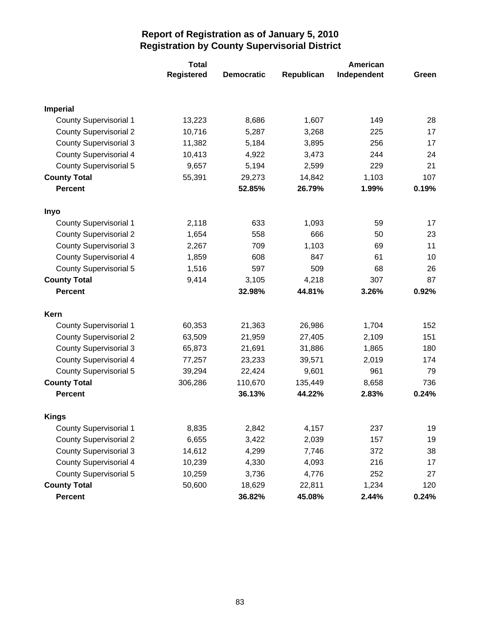|                               | <b>Total</b>      |                   |            | American    |       |  |
|-------------------------------|-------------------|-------------------|------------|-------------|-------|--|
|                               | <b>Registered</b> | <b>Democratic</b> | Republican | Independent | Green |  |
|                               |                   |                   |            |             |       |  |
| <b>Imperial</b>               |                   |                   |            |             |       |  |
| <b>County Supervisorial 1</b> | 13,223            | 8,686             | 1,607      | 149         | 28    |  |
| <b>County Supervisorial 2</b> | 10,716            | 5,287             | 3,268      | 225         | 17    |  |
| <b>County Supervisorial 3</b> | 11,382            | 5,184             | 3,895      | 256         | 17    |  |
| <b>County Supervisorial 4</b> | 10,413            | 4,922             | 3,473      | 244         | 24    |  |
| <b>County Supervisorial 5</b> | 9,657             | 5,194             | 2,599      | 229         | 21    |  |
| <b>County Total</b>           | 55,391            | 29,273            | 14,842     | 1,103       | 107   |  |
| <b>Percent</b>                |                   | 52.85%            | 26.79%     | 1.99%       | 0.19% |  |
| Inyo                          |                   |                   |            |             |       |  |
| <b>County Supervisorial 1</b> | 2,118             | 633               | 1,093      | 59          | 17    |  |
| <b>County Supervisorial 2</b> | 1,654             | 558               | 666        | 50          | 23    |  |
| <b>County Supervisorial 3</b> | 2,267             | 709               | 1,103      | 69          | 11    |  |
| <b>County Supervisorial 4</b> | 1,859             | 608               | 847        | 61          | 10    |  |
| <b>County Supervisorial 5</b> | 1,516             | 597               | 509        | 68          | 26    |  |
| <b>County Total</b>           | 9,414             | 3,105             | 4,218      | 307         | 87    |  |
| <b>Percent</b>                |                   | 32.98%            | 44.81%     | 3.26%       | 0.92% |  |
| Kern                          |                   |                   |            |             |       |  |
| <b>County Supervisorial 1</b> | 60,353            | 21,363            | 26,986     | 1,704       | 152   |  |
| <b>County Supervisorial 2</b> | 63,509            | 21,959            | 27,405     | 2,109       | 151   |  |
| <b>County Supervisorial 3</b> | 65,873            | 21,691            | 31,886     | 1,865       | 180   |  |
| <b>County Supervisorial 4</b> | 77,257            | 23,233            | 39,571     | 2,019       | 174   |  |
| <b>County Supervisorial 5</b> | 39,294            | 22,424            | 9,601      | 961         | 79    |  |
| <b>County Total</b>           | 306,286           | 110,670           | 135,449    | 8,658       | 736   |  |
| <b>Percent</b>                |                   | 36.13%            | 44.22%     | 2.83%       | 0.24% |  |
| <b>Kings</b>                  |                   |                   |            |             |       |  |
| <b>County Supervisorial 1</b> | 8,835             | 2,842             | 4,157      | 237         | 19    |  |
| <b>County Supervisorial 2</b> | 6,655             | 3,422             | 2,039      | 157         | 19    |  |
| <b>County Supervisorial 3</b> | 14,612            | 4,299             | 7,746      | 372         | 38    |  |
| <b>County Supervisorial 4</b> | 10,239            | 4,330             | 4,093      | 216         | 17    |  |
| <b>County Supervisorial 5</b> | 10,259            | 3,736             | 4,776      | 252         | 27    |  |
| <b>County Total</b>           | 50,600            | 18,629            | 22,811     | 1,234       | 120   |  |
| <b>Percent</b>                |                   | 36.82%            | 45.08%     | 2.44%       | 0.24% |  |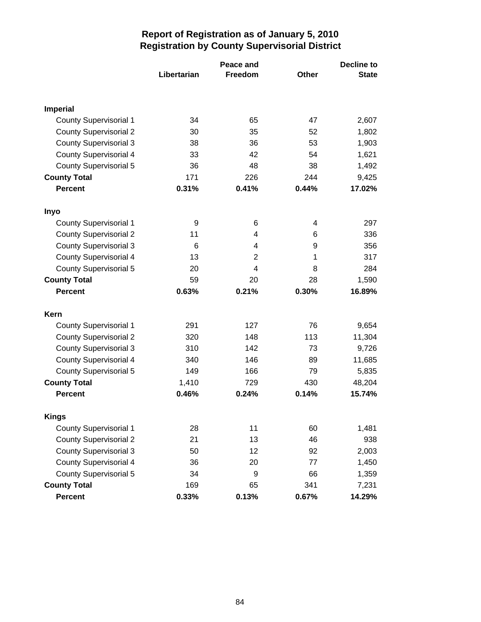|                               |             | Peace and      | <b>Decline to</b> |              |  |
|-------------------------------|-------------|----------------|-------------------|--------------|--|
|                               | Libertarian | Freedom        | <b>Other</b>      | <b>State</b> |  |
|                               |             |                |                   |              |  |
| <b>Imperial</b>               |             |                |                   |              |  |
| <b>County Supervisorial 1</b> | 34          | 65             | 47                | 2,607        |  |
| <b>County Supervisorial 2</b> | 30          | 35             | 52                | 1,802        |  |
| <b>County Supervisorial 3</b> | 38          | 36             | 53                | 1,903        |  |
| <b>County Supervisorial 4</b> | 33          | 42             | 54                | 1,621        |  |
| <b>County Supervisorial 5</b> | 36          | 48             | 38                | 1,492        |  |
| <b>County Total</b>           | 171         | 226            | 244               | 9,425        |  |
| <b>Percent</b>                | 0.31%       | 0.41%          | 0.44%             | 17.02%       |  |
| Inyo                          |             |                |                   |              |  |
| <b>County Supervisorial 1</b> | 9           | 6              | 4                 | 297          |  |
| <b>County Supervisorial 2</b> | 11          | 4              | 6                 | 336          |  |
| <b>County Supervisorial 3</b> | 6           | 4              | 9                 | 356          |  |
| <b>County Supervisorial 4</b> | 13          | $\overline{2}$ | 1                 | 317          |  |
| County Supervisorial 5        | 20          | 4              | 8                 | 284          |  |
| <b>County Total</b>           | 59          | 20             | 28                | 1,590        |  |
| <b>Percent</b>                | 0.63%       | 0.21%          | 0.30%             | 16.89%       |  |
| Kern                          |             |                |                   |              |  |
| <b>County Supervisorial 1</b> | 291         | 127            | 76                | 9,654        |  |
| <b>County Supervisorial 2</b> | 320         | 148            | 113               | 11,304       |  |
| <b>County Supervisorial 3</b> | 310         | 142            | 73                | 9,726        |  |
| County Supervisorial 4        | 340         | 146            | 89                | 11,685       |  |
| County Supervisorial 5        | 149         | 166            | 79                | 5,835        |  |
| <b>County Total</b>           | 1,410       | 729            | 430               | 48,204       |  |
| <b>Percent</b>                | 0.46%       | 0.24%          | 0.14%             | 15.74%       |  |
| <b>Kings</b>                  |             |                |                   |              |  |
| <b>County Supervisorial 1</b> | 28          | 11             | 60                | 1,481        |  |
| <b>County Supervisorial 2</b> | 21          | 13             | 46                | 938          |  |
| <b>County Supervisorial 3</b> | 50          | 12             | 92                | 2,003        |  |
| <b>County Supervisorial 4</b> | 36          | 20             | 77                | 1,450        |  |
| County Supervisorial 5        | 34          | 9              | 66                | 1,359        |  |
| <b>County Total</b>           | 169         | 65             | 341               | 7,231        |  |
| Percent                       | 0.33%       | 0.13%          | 0.67%             | 14.29%       |  |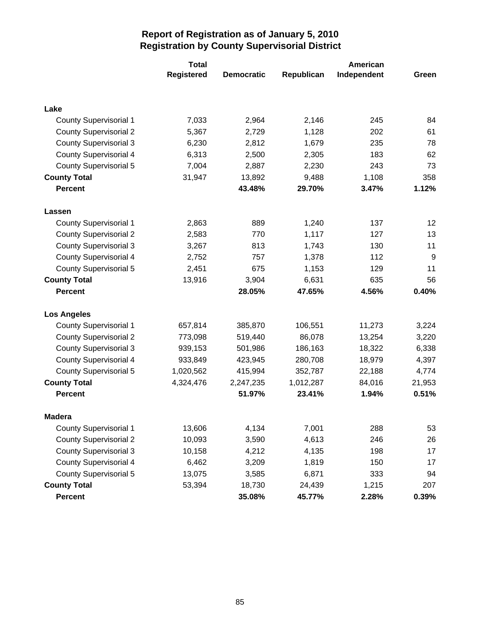|                               | <b>Total</b> |                   |            | American    |        |  |
|-------------------------------|--------------|-------------------|------------|-------------|--------|--|
|                               | Registered   | <b>Democratic</b> | Republican | Independent | Green  |  |
|                               |              |                   |            |             |        |  |
| Lake                          |              |                   |            |             |        |  |
| <b>County Supervisorial 1</b> | 7,033        | 2,964             | 2,146      | 245         | 84     |  |
| <b>County Supervisorial 2</b> | 5,367        | 2,729             | 1,128      | 202         | 61     |  |
| <b>County Supervisorial 3</b> | 6,230        | 2,812             | 1,679      | 235         | 78     |  |
| <b>County Supervisorial 4</b> | 6,313        | 2,500             | 2,305      | 183         | 62     |  |
| <b>County Supervisorial 5</b> | 7,004        | 2,887             | 2,230      | 243         | 73     |  |
| <b>County Total</b>           | 31,947       | 13,892            | 9,488      | 1,108       | 358    |  |
| <b>Percent</b>                |              | 43.48%            | 29.70%     | 3.47%       | 1.12%  |  |
| Lassen                        |              |                   |            |             |        |  |
| <b>County Supervisorial 1</b> | 2,863        | 889               | 1,240      | 137         | 12     |  |
| <b>County Supervisorial 2</b> | 2,583        | 770               | 1,117      | 127         | 13     |  |
| <b>County Supervisorial 3</b> | 3,267        | 813               | 1,743      | 130         | 11     |  |
| <b>County Supervisorial 4</b> | 2,752        | 757               | 1,378      | 112         | 9      |  |
| <b>County Supervisorial 5</b> | 2,451        | 675               | 1,153      | 129         | 11     |  |
| <b>County Total</b>           | 13,916       | 3,904             | 6,631      | 635         | 56     |  |
| <b>Percent</b>                |              | 28.05%            | 47.65%     | 4.56%       | 0.40%  |  |
| <b>Los Angeles</b>            |              |                   |            |             |        |  |
| <b>County Supervisorial 1</b> | 657,814      | 385,870           | 106,551    | 11,273      | 3,224  |  |
| <b>County Supervisorial 2</b> | 773,098      | 519,440           | 86,078     | 13,254      | 3,220  |  |
| <b>County Supervisorial 3</b> | 939,153      | 501,986           | 186,163    | 18,322      | 6,338  |  |
| <b>County Supervisorial 4</b> | 933,849      | 423,945           | 280,708    | 18,979      | 4,397  |  |
| <b>County Supervisorial 5</b> | 1,020,562    | 415,994           | 352,787    | 22,188      | 4,774  |  |
| <b>County Total</b>           | 4,324,476    | 2,247,235         | 1,012,287  | 84,016      | 21,953 |  |
| <b>Percent</b>                |              | 51.97%            | 23.41%     | 1.94%       | 0.51%  |  |
| <b>Madera</b>                 |              |                   |            |             |        |  |
| <b>County Supervisorial 1</b> | 13,606       | 4,134             | 7,001      | 288         | 53     |  |
| <b>County Supervisorial 2</b> | 10,093       | 3,590             | 4,613      | 246         | 26     |  |
| <b>County Supervisorial 3</b> | 10,158       | 4,212             | 4,135      | 198         | 17     |  |
| <b>County Supervisorial 4</b> | 6,462        | 3,209             | 1,819      | 150         | 17     |  |
| <b>County Supervisorial 5</b> | 13,075       | 3,585             | 6,871      | 333         | 94     |  |
| <b>County Total</b>           | 53,394       | 18,730            | 24,439     | 1,215       | 207    |  |
| <b>Percent</b>                |              | 35.08%            | 45.77%     | 2.28%       | 0.39%  |  |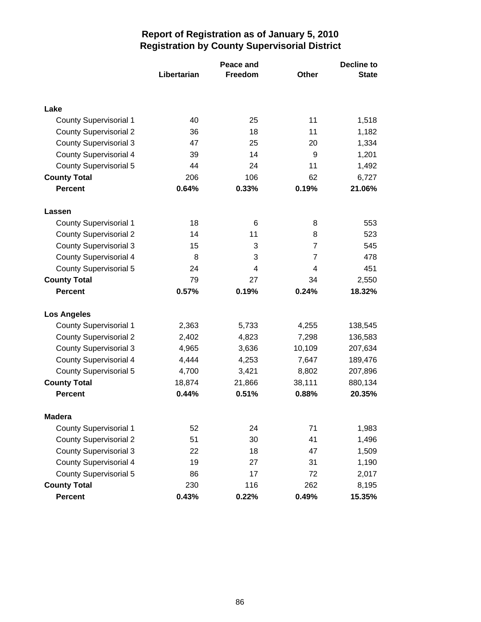|                               |             | Peace and |                | <b>Decline to</b> |  |
|-------------------------------|-------------|-----------|----------------|-------------------|--|
|                               | Libertarian | Freedom   | <b>Other</b>   | <b>State</b>      |  |
|                               |             |           |                |                   |  |
| Lake                          |             |           |                |                   |  |
| <b>County Supervisorial 1</b> | 40          | 25        | 11             | 1,518             |  |
| <b>County Supervisorial 2</b> | 36          | 18        | 11             | 1,182             |  |
| <b>County Supervisorial 3</b> | 47          | 25        | 20             | 1,334             |  |
| <b>County Supervisorial 4</b> | 39          | 14        | 9              | 1,201             |  |
| <b>County Supervisorial 5</b> | 44          | 24        | 11             | 1,492             |  |
| <b>County Total</b>           | 206         | 106       | 62             | 6,727             |  |
| <b>Percent</b>                | 0.64%       | 0.33%     | 0.19%          | 21.06%            |  |
| Lassen                        |             |           |                |                   |  |
| <b>County Supervisorial 1</b> | 18          | 6         | 8              | 553               |  |
| <b>County Supervisorial 2</b> | 14          | 11        | 8              | 523               |  |
| <b>County Supervisorial 3</b> | 15          | 3         | $\overline{7}$ | 545               |  |
| <b>County Supervisorial 4</b> | 8           | 3         | $\overline{7}$ | 478               |  |
| <b>County Supervisorial 5</b> | 24          | 4         | 4              | 451               |  |
| <b>County Total</b>           | 79          | 27        | 34             | 2,550             |  |
| <b>Percent</b>                | 0.57%       | 0.19%     | 0.24%          | 18.32%            |  |
| <b>Los Angeles</b>            |             |           |                |                   |  |
| <b>County Supervisorial 1</b> | 2,363       | 5,733     | 4,255          | 138,545           |  |
| <b>County Supervisorial 2</b> | 2,402       | 4,823     | 7,298          | 136,583           |  |
| <b>County Supervisorial 3</b> | 4,965       | 3,636     | 10,109         | 207,634           |  |
| <b>County Supervisorial 4</b> | 4,444       | 4,253     | 7,647          | 189,476           |  |
| <b>County Supervisorial 5</b> | 4,700       | 3,421     | 8,802          | 207,896           |  |
| <b>County Total</b>           | 18,874      | 21,866    | 38,111         | 880,134           |  |
| <b>Percent</b>                | 0.44%       | 0.51%     | 0.88%          | 20.35%            |  |
| <b>Madera</b>                 |             |           |                |                   |  |
| <b>County Supervisorial 1</b> | 52          | 24        | 71             | 1,983             |  |
| <b>County Supervisorial 2</b> | 51          | 30        | 41             | 1,496             |  |
| <b>County Supervisorial 3</b> | 22          | 18        | 47             | 1,509             |  |
| <b>County Supervisorial 4</b> | 19          | 27        | 31             | 1,190             |  |
| <b>County Supervisorial 5</b> | 86          | 17        | 72             | 2,017             |  |
| <b>County Total</b>           | 230         | 116       | 262            | 8,195             |  |
| Percent                       | 0.43%       | 0.22%     | 0.49%          | 15.35%            |  |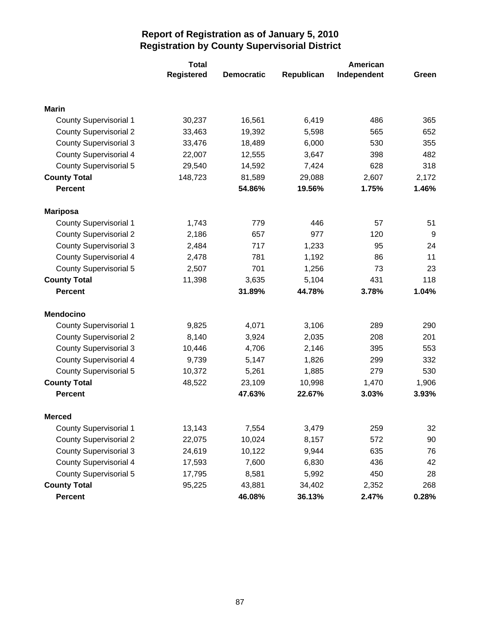|                               | <b>Total</b> |                   |            | American    |       |  |
|-------------------------------|--------------|-------------------|------------|-------------|-------|--|
|                               | Registered   | <b>Democratic</b> | Republican | Independent | Green |  |
|                               |              |                   |            |             |       |  |
| <b>Marin</b>                  |              |                   |            |             |       |  |
| <b>County Supervisorial 1</b> | 30,237       | 16,561            | 6,419      | 486         | 365   |  |
| <b>County Supervisorial 2</b> | 33,463       | 19,392            | 5,598      | 565         | 652   |  |
| <b>County Supervisorial 3</b> | 33,476       | 18,489            | 6,000      | 530         | 355   |  |
| <b>County Supervisorial 4</b> | 22,007       | 12,555            | 3,647      | 398         | 482   |  |
| <b>County Supervisorial 5</b> | 29,540       | 14,592            | 7,424      | 628         | 318   |  |
| <b>County Total</b>           | 148,723      | 81,589            | 29,088     | 2,607       | 2,172 |  |
| <b>Percent</b>                |              | 54.86%            | 19.56%     | 1.75%       | 1.46% |  |
| <b>Mariposa</b>               |              |                   |            |             |       |  |
| <b>County Supervisorial 1</b> | 1,743        | 779               | 446        | 57          | 51    |  |
| <b>County Supervisorial 2</b> | 2,186        | 657               | 977        | 120         | 9     |  |
| <b>County Supervisorial 3</b> | 2,484        | 717               | 1,233      | 95          | 24    |  |
| <b>County Supervisorial 4</b> | 2,478        | 781               | 1,192      | 86          | 11    |  |
| <b>County Supervisorial 5</b> | 2,507        | 701               | 1,256      | 73          | 23    |  |
| <b>County Total</b>           | 11,398       | 3,635             | 5,104      | 431         | 118   |  |
| <b>Percent</b>                |              | 31.89%            | 44.78%     | 3.78%       | 1.04% |  |
| <b>Mendocino</b>              |              |                   |            |             |       |  |
| <b>County Supervisorial 1</b> | 9,825        | 4,071             | 3,106      | 289         | 290   |  |
| <b>County Supervisorial 2</b> | 8,140        | 3,924             | 2,035      | 208         | 201   |  |
| <b>County Supervisorial 3</b> | 10,446       | 4,706             | 2,146      | 395         | 553   |  |
| <b>County Supervisorial 4</b> | 9,739        | 5,147             | 1,826      | 299         | 332   |  |
| <b>County Supervisorial 5</b> | 10,372       | 5,261             | 1,885      | 279         | 530   |  |
| <b>County Total</b>           | 48,522       | 23,109            | 10,998     | 1,470       | 1,906 |  |
| <b>Percent</b>                |              | 47.63%            | 22.67%     | 3.03%       | 3.93% |  |
| <b>Merced</b>                 |              |                   |            |             |       |  |
| <b>County Supervisorial 1</b> | 13,143       | 7,554             | 3,479      | 259         | 32    |  |
| <b>County Supervisorial 2</b> | 22,075       | 10,024            | 8,157      | 572         | 90    |  |
| <b>County Supervisorial 3</b> | 24,619       | 10,122            | 9,944      | 635         | 76    |  |
| <b>County Supervisorial 4</b> | 17,593       | 7,600             | 6,830      | 436         | 42    |  |
| <b>County Supervisorial 5</b> | 17,795       | 8,581             | 5,992      | 450         | 28    |  |
| <b>County Total</b>           | 95,225       | 43,881            | 34,402     | 2,352       | 268   |  |
| <b>Percent</b>                |              | 46.08%            | 36.13%     | 2.47%       | 0.28% |  |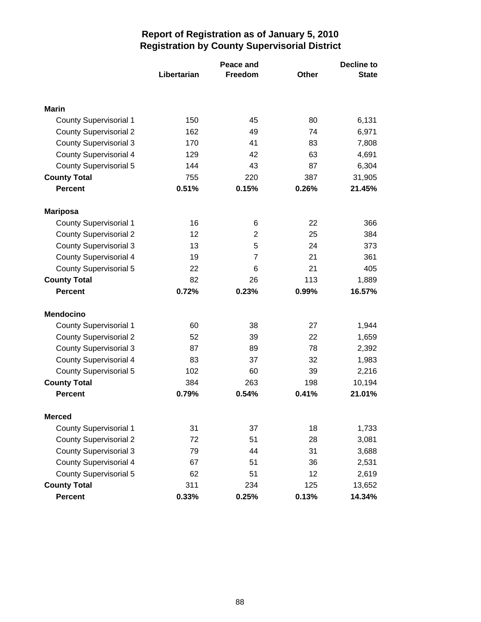|                               |             | Peace and      | <b>Decline to</b> |              |  |
|-------------------------------|-------------|----------------|-------------------|--------------|--|
|                               | Libertarian | Freedom        | <b>Other</b>      | <b>State</b> |  |
|                               |             |                |                   |              |  |
| <b>Marin</b>                  |             |                |                   |              |  |
| <b>County Supervisorial 1</b> | 150         | 45             | 80                | 6,131        |  |
| <b>County Supervisorial 2</b> | 162         | 49             | 74                | 6,971        |  |
| <b>County Supervisorial 3</b> | 170         | 41             | 83                | 7,808        |  |
| <b>County Supervisorial 4</b> | 129         | 42             | 63                | 4,691        |  |
| <b>County Supervisorial 5</b> | 144         | 43             | 87                | 6,304        |  |
| <b>County Total</b>           | 755         | 220            | 387               | 31,905       |  |
| <b>Percent</b>                | 0.51%       | 0.15%          | 0.26%             | 21.45%       |  |
| <b>Mariposa</b>               |             |                |                   |              |  |
| <b>County Supervisorial 1</b> | 16          | 6              | 22                | 366          |  |
| <b>County Supervisorial 2</b> | 12          | $\overline{2}$ | 25                | 384          |  |
| <b>County Supervisorial 3</b> | 13          | 5              | 24                | 373          |  |
| <b>County Supervisorial 4</b> | 19          | $\overline{7}$ | 21                | 361          |  |
| <b>County Supervisorial 5</b> | 22          | 6              | 21                | 405          |  |
| <b>County Total</b>           | 82          | 26             | 113               | 1,889        |  |
| <b>Percent</b>                | 0.72%       | 0.23%          | 0.99%             | 16.57%       |  |
| <b>Mendocino</b>              |             |                |                   |              |  |
| <b>County Supervisorial 1</b> | 60          | 38             | 27                | 1,944        |  |
| <b>County Supervisorial 2</b> | 52          | 39             | 22                | 1,659        |  |
| <b>County Supervisorial 3</b> | 87          | 89             | 78                | 2,392        |  |
| <b>County Supervisorial 4</b> | 83          | 37             | 32                | 1,983        |  |
| <b>County Supervisorial 5</b> | 102         | 60             | 39                | 2,216        |  |
| <b>County Total</b>           | 384         | 263            | 198               | 10,194       |  |
| <b>Percent</b>                | 0.79%       | 0.54%          | 0.41%             | 21.01%       |  |
| <b>Merced</b>                 |             |                |                   |              |  |
| <b>County Supervisorial 1</b> | 31          | 37             | 18                | 1,733        |  |
| <b>County Supervisorial 2</b> | 72          | 51             | 28                | 3,081        |  |
| <b>County Supervisorial 3</b> | 79          | 44             | 31                | 3,688        |  |
| <b>County Supervisorial 4</b> | 67          | 51             | 36                | 2,531        |  |
| <b>County Supervisorial 5</b> | 62          | 51             | 12                | 2,619        |  |
| <b>County Total</b>           | 311         | 234            | 125               | 13,652       |  |
| <b>Percent</b>                | 0.33%       | 0.25%          | 0.13%             | 14.34%       |  |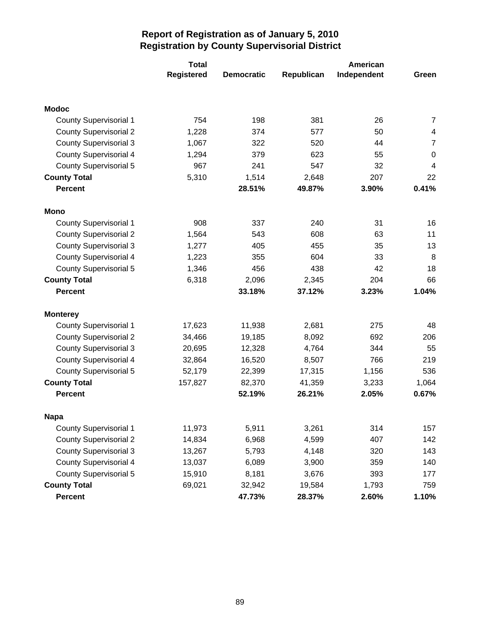|                               | <b>Total</b>      |                   |            | American    |                         |
|-------------------------------|-------------------|-------------------|------------|-------------|-------------------------|
|                               | <b>Registered</b> | <b>Democratic</b> | Republican | Independent | Green                   |
|                               |                   |                   |            |             |                         |
| <b>Modoc</b>                  |                   |                   |            |             |                         |
| <b>County Supervisorial 1</b> | 754               | 198               | 381        | 26          | $\overline{7}$          |
| <b>County Supervisorial 2</b> | 1,228             | 374               | 577        | 50          | $\overline{\mathbf{4}}$ |
| <b>County Supervisorial 3</b> | 1,067             | 322               | 520        | 44          | $\overline{7}$          |
| <b>County Supervisorial 4</b> | 1,294             | 379               | 623        | 55          | $\pmb{0}$               |
| <b>County Supervisorial 5</b> | 967               | 241               | 547        | 32          | 4                       |
| <b>County Total</b>           | 5,310             | 1,514             | 2,648      | 207         | 22                      |
| <b>Percent</b>                |                   | 28.51%            | 49.87%     | 3.90%       | 0.41%                   |
| <b>Mono</b>                   |                   |                   |            |             |                         |
| <b>County Supervisorial 1</b> | 908               | 337               | 240        | 31          | 16                      |
| <b>County Supervisorial 2</b> | 1,564             | 543               | 608        | 63          | 11                      |
| <b>County Supervisorial 3</b> | 1,277             | 405               | 455        | 35          | 13                      |
| County Supervisorial 4        | 1,223             | 355               | 604        | 33          | 8                       |
| <b>County Supervisorial 5</b> | 1,346             | 456               | 438        | 42          | 18                      |
| <b>County Total</b>           | 6,318             | 2,096             | 2,345      | 204         | 66                      |
| <b>Percent</b>                |                   | 33.18%            | 37.12%     | 3.23%       | 1.04%                   |
| <b>Monterey</b>               |                   |                   |            |             |                         |
| <b>County Supervisorial 1</b> | 17,623            | 11,938            | 2,681      | 275         | 48                      |
| <b>County Supervisorial 2</b> | 34,466            | 19,185            | 8,092      | 692         | 206                     |
| <b>County Supervisorial 3</b> | 20,695            | 12,328            | 4,764      | 344         | 55                      |
| <b>County Supervisorial 4</b> | 32,864            | 16,520            | 8,507      | 766         | 219                     |
| County Supervisorial 5        | 52,179            | 22,399            | 17,315     | 1,156       | 536                     |
| <b>County Total</b>           | 157,827           | 82,370            | 41,359     | 3,233       | 1,064                   |
| <b>Percent</b>                |                   | 52.19%            | 26.21%     | 2.05%       | 0.67%                   |
| <b>Napa</b>                   |                   |                   |            |             |                         |
| <b>County Supervisorial 1</b> | 11,973            | 5,911             | 3,261      | 314         | 157                     |
| <b>County Supervisorial 2</b> | 14,834            | 6,968             | 4,599      | 407         | 142                     |
| <b>County Supervisorial 3</b> | 13,267            | 5,793             | 4,148      | 320         | 143                     |
| <b>County Supervisorial 4</b> | 13,037            | 6,089             | 3,900      | 359         | 140                     |
| <b>County Supervisorial 5</b> | 15,910            | 8,181             | 3,676      | 393         | 177                     |
| <b>County Total</b>           | 69,021            | 32,942            | 19,584     | 1,793       | 759                     |
| Percent                       |                   | 47.73%            | 28.37%     | 2.60%       | 1.10%                   |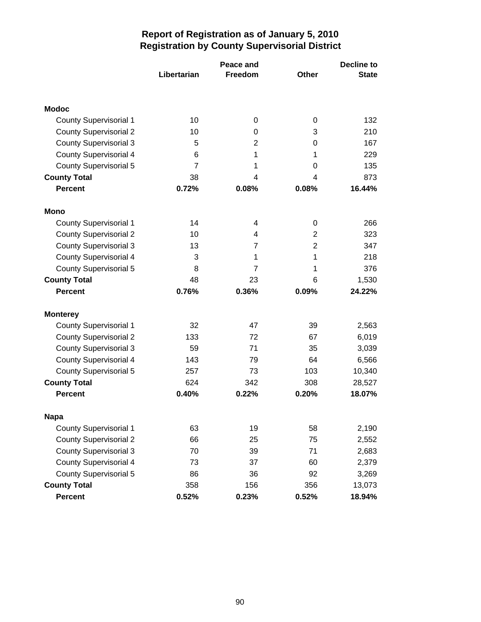|                               |                | Peace and      | <b>Decline to</b> |              |  |
|-------------------------------|----------------|----------------|-------------------|--------------|--|
|                               | Libertarian    | Freedom        | Other             | <b>State</b> |  |
|                               |                |                |                   |              |  |
| <b>Modoc</b>                  |                |                |                   |              |  |
| <b>County Supervisorial 1</b> | 10             | 0              | 0                 | 132          |  |
| <b>County Supervisorial 2</b> | 10             | 0              | 3                 | 210          |  |
| <b>County Supervisorial 3</b> | 5              | $\overline{2}$ | 0                 | 167          |  |
| <b>County Supervisorial 4</b> | 6              | 1              | 1                 | 229          |  |
| County Supervisorial 5        | $\overline{7}$ | 1              | 0                 | 135          |  |
| <b>County Total</b>           | 38             | 4              | 4                 | 873          |  |
| <b>Percent</b>                | 0.72%          | 0.08%          | 0.08%             | 16.44%       |  |
| Mono                          |                |                |                   |              |  |
| <b>County Supervisorial 1</b> | 14             | 4              | 0                 | 266          |  |
| <b>County Supervisorial 2</b> | 10             | 4              | 2                 | 323          |  |
| <b>County Supervisorial 3</b> | 13             | 7              | 2                 | 347          |  |
| <b>County Supervisorial 4</b> | 3              | 1              | 1                 | 218          |  |
| County Supervisorial 5        | 8              | 7              | 1                 | 376          |  |
| <b>County Total</b>           | 48             | 23             | 6                 | 1,530        |  |
| <b>Percent</b>                | 0.76%          | 0.36%          | 0.09%             | 24.22%       |  |
| <b>Monterey</b>               |                |                |                   |              |  |
| <b>County Supervisorial 1</b> | 32             | 47             | 39                | 2,563        |  |
| <b>County Supervisorial 2</b> | 133            | 72             | 67                | 6,019        |  |
| <b>County Supervisorial 3</b> | 59             | 71             | 35                | 3,039        |  |
| <b>County Supervisorial 4</b> | 143            | 79             | 64                | 6,566        |  |
| County Supervisorial 5        | 257            | 73             | 103               | 10,340       |  |
| <b>County Total</b>           | 624            | 342            | 308               | 28,527       |  |
| <b>Percent</b>                | 0.40%          | 0.22%          | 0.20%             | 18.07%       |  |
| <b>Napa</b>                   |                |                |                   |              |  |
| <b>County Supervisorial 1</b> | 63             | 19             | 58                | 2,190        |  |
| <b>County Supervisorial 2</b> | 66             | 25             | 75                | 2,552        |  |
| <b>County Supervisorial 3</b> | 70             | 39             | 71                | 2,683        |  |
| County Supervisorial 4        | 73             | 37             | 60                | 2,379        |  |
| <b>County Supervisorial 5</b> | 86             | 36             | 92                | 3,269        |  |
| <b>County Total</b>           | 358            | 156            | 356               | 13,073       |  |
| Percent                       | 0.52%          | 0.23%          | 0.52%             | 18.94%       |  |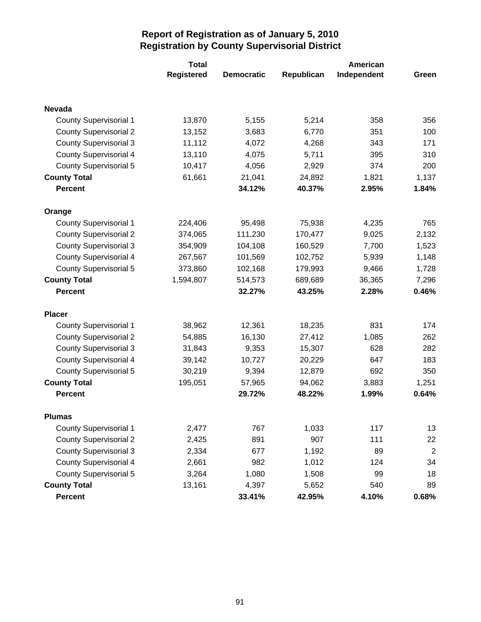|                               | <b>Total</b> |                   |            | American    |                |  |
|-------------------------------|--------------|-------------------|------------|-------------|----------------|--|
|                               | Registered   | <b>Democratic</b> | Republican | Independent | Green          |  |
|                               |              |                   |            |             |                |  |
| <b>Nevada</b>                 |              |                   |            |             |                |  |
| <b>County Supervisorial 1</b> | 13,870       | 5,155             | 5,214      | 358         | 356            |  |
| <b>County Supervisorial 2</b> | 13,152       | 3,683             | 6,770      | 351         | 100            |  |
| <b>County Supervisorial 3</b> | 11,112       | 4,072             | 4,268      | 343         | 171            |  |
| <b>County Supervisorial 4</b> | 13,110       | 4,075             | 5,711      | 395         | 310            |  |
| <b>County Supervisorial 5</b> | 10,417       | 4,056             | 2,929      | 374         | 200            |  |
| <b>County Total</b>           | 61,661       | 21,041            | 24,892     | 1,821       | 1,137          |  |
| <b>Percent</b>                |              | 34.12%            | 40.37%     | 2.95%       | 1.84%          |  |
| Orange                        |              |                   |            |             |                |  |
| <b>County Supervisorial 1</b> | 224,406      | 95,498            | 75,938     | 4,235       | 765            |  |
| <b>County Supervisorial 2</b> | 374,065      | 111,230           | 170,477    | 9,025       | 2,132          |  |
| <b>County Supervisorial 3</b> | 354,909      | 104,108           | 160,529    | 7,700       | 1,523          |  |
| <b>County Supervisorial 4</b> | 267,567      | 101,569           | 102,752    | 5,939       | 1,148          |  |
| <b>County Supervisorial 5</b> | 373,860      | 102,168           | 179,993    | 9,466       | 1,728          |  |
| <b>County Total</b>           | 1,594,807    | 514,573           | 689,689    | 36,365      | 7,296          |  |
| <b>Percent</b>                |              | 32.27%            | 43.25%     | 2.28%       | 0.46%          |  |
| <b>Placer</b>                 |              |                   |            |             |                |  |
| <b>County Supervisorial 1</b> | 38,962       | 12,361            | 18,235     | 831         | 174            |  |
| <b>County Supervisorial 2</b> | 54,885       | 16,130            | 27,412     | 1,085       | 262            |  |
| <b>County Supervisorial 3</b> | 31,843       | 9,353             | 15,307     | 628         | 282            |  |
| <b>County Supervisorial 4</b> | 39,142       | 10,727            | 20,229     | 647         | 183            |  |
| <b>County Supervisorial 5</b> | 30,219       | 9,394             | 12,879     | 692         | 350            |  |
| <b>County Total</b>           | 195,051      | 57,965            | 94,062     | 3,883       | 1,251          |  |
| <b>Percent</b>                |              | 29.72%            | 48.22%     | 1.99%       | 0.64%          |  |
| <b>Plumas</b>                 |              |                   |            |             |                |  |
| <b>County Supervisorial 1</b> | 2,477        | 767               | 1,033      | 117         | 13             |  |
| <b>County Supervisorial 2</b> | 2,425        | 891               | 907        | 111         | 22             |  |
| <b>County Supervisorial 3</b> | 2,334        | 677               | 1,192      | 89          | $\overline{2}$ |  |
| <b>County Supervisorial 4</b> | 2,661        | 982               | 1,012      | 124         | 34             |  |
| <b>County Supervisorial 5</b> | 3,264        | 1,080             | 1,508      | 99          | 18             |  |
| <b>County Total</b>           | 13,161       | 4,397             | 5,652      | 540         | 89             |  |
| Percent                       |              | 33.41%            | 42.95%     | 4.10%       | 0.68%          |  |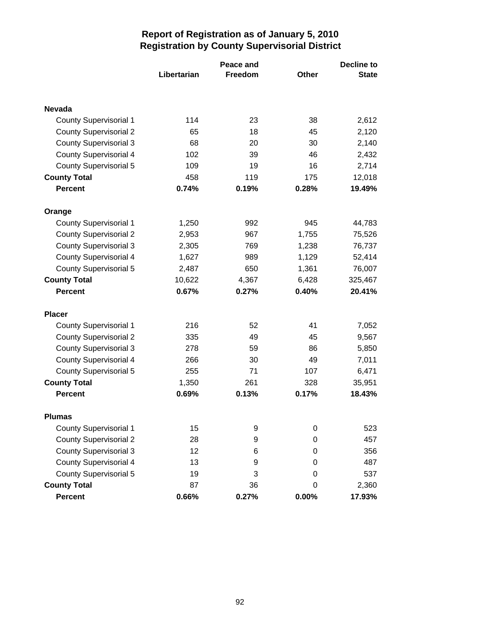|                               |             | Peace and      | <b>Decline to</b> |              |  |
|-------------------------------|-------------|----------------|-------------------|--------------|--|
|                               | Libertarian | <b>Freedom</b> | <b>Other</b>      | <b>State</b> |  |
|                               |             |                |                   |              |  |
| <b>Nevada</b>                 |             |                |                   |              |  |
| <b>County Supervisorial 1</b> | 114         | 23             | 38                | 2,612        |  |
| <b>County Supervisorial 2</b> | 65          | 18             | 45                | 2,120        |  |
| <b>County Supervisorial 3</b> | 68          | 20             | 30                | 2,140        |  |
| <b>County Supervisorial 4</b> | 102         | 39             | 46                | 2,432        |  |
| County Supervisorial 5        | 109         | 19             | 16                | 2,714        |  |
| <b>County Total</b>           | 458         | 119            | 175               | 12,018       |  |
| <b>Percent</b>                | 0.74%       | 0.19%          | 0.28%             | 19.49%       |  |
| Orange                        |             |                |                   |              |  |
| <b>County Supervisorial 1</b> | 1,250       | 992            | 945               | 44,783       |  |
| <b>County Supervisorial 2</b> | 2,953       | 967            | 1,755             | 75,526       |  |
| <b>County Supervisorial 3</b> | 2,305       | 769            | 1,238             | 76,737       |  |
| <b>County Supervisorial 4</b> | 1,627       | 989            | 1,129             | 52,414       |  |
| County Supervisorial 5        | 2,487       | 650            | 1,361             | 76,007       |  |
| <b>County Total</b>           | 10,622      | 4,367          | 6,428             | 325,467      |  |
| <b>Percent</b>                | 0.67%       | 0.27%          | 0.40%             | 20.41%       |  |
| <b>Placer</b>                 |             |                |                   |              |  |
| <b>County Supervisorial 1</b> | 216         | 52             | 41                | 7,052        |  |
| <b>County Supervisorial 2</b> | 335         | 49             | 45                | 9,567        |  |
| <b>County Supervisorial 3</b> | 278         | 59             | 86                | 5,850        |  |
| County Supervisorial 4        | 266         | 30             | 49                | 7,011        |  |
| County Supervisorial 5        | 255         | 71             | 107               | 6,471        |  |
| <b>County Total</b>           | 1,350       | 261            | 328               | 35,951       |  |
| <b>Percent</b>                | 0.69%       | 0.13%          | 0.17%             | 18.43%       |  |
| <b>Plumas</b>                 |             |                |                   |              |  |
| <b>County Supervisorial 1</b> | 15          | 9              | 0                 | 523          |  |
| <b>County Supervisorial 2</b> | 28          | 9              | 0                 | 457          |  |
| <b>County Supervisorial 3</b> | 12          | 6              | 0                 | 356          |  |
| <b>County Supervisorial 4</b> | 13          | 9              | 0                 | 487          |  |
| <b>County Supervisorial 5</b> | 19          | 3              | 0                 | 537          |  |
| <b>County Total</b>           | 87          | 36             | 0                 | 2,360        |  |
| Percent                       | 0.66%       | 0.27%          | $0.00\%$          | 17.93%       |  |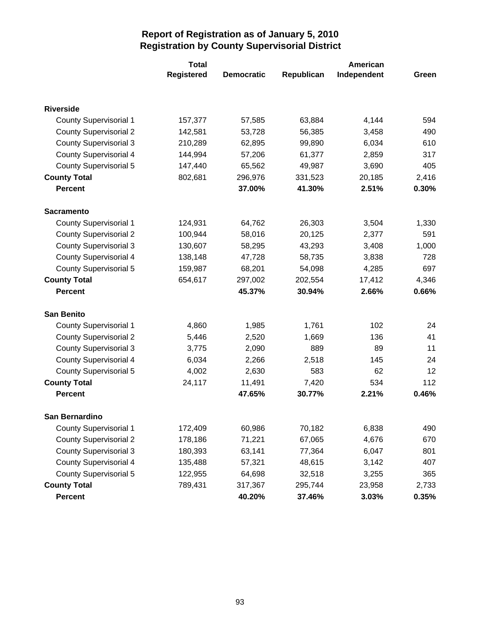|                               | <b>Total</b> |                   |            | American    |       |  |
|-------------------------------|--------------|-------------------|------------|-------------|-------|--|
|                               | Registered   | <b>Democratic</b> | Republican | Independent | Green |  |
|                               |              |                   |            |             |       |  |
| <b>Riverside</b>              |              |                   |            |             |       |  |
| <b>County Supervisorial 1</b> | 157,377      | 57,585            | 63,884     | 4,144       | 594   |  |
| <b>County Supervisorial 2</b> | 142,581      | 53,728            | 56,385     | 3,458       | 490   |  |
| <b>County Supervisorial 3</b> | 210,289      | 62,895            | 99,890     | 6,034       | 610   |  |
| <b>County Supervisorial 4</b> | 144,994      | 57,206            | 61,377     | 2,859       | 317   |  |
| <b>County Supervisorial 5</b> | 147,440      | 65,562            | 49,987     | 3,690       | 405   |  |
| <b>County Total</b>           | 802,681      | 296,976           | 331,523    | 20,185      | 2,416 |  |
| <b>Percent</b>                |              | 37.00%            | 41.30%     | 2.51%       | 0.30% |  |
| <b>Sacramento</b>             |              |                   |            |             |       |  |
| <b>County Supervisorial 1</b> | 124,931      | 64,762            | 26,303     | 3,504       | 1,330 |  |
| <b>County Supervisorial 2</b> | 100,944      | 58,016            | 20,125     | 2,377       | 591   |  |
| <b>County Supervisorial 3</b> | 130,607      | 58,295            | 43,293     | 3,408       | 1,000 |  |
| <b>County Supervisorial 4</b> | 138,148      | 47,728            | 58,735     | 3,838       | 728   |  |
| <b>County Supervisorial 5</b> | 159,987      | 68,201            | 54,098     | 4,285       | 697   |  |
| <b>County Total</b>           | 654,617      | 297,002           | 202,554    | 17,412      | 4,346 |  |
| <b>Percent</b>                |              | 45.37%            | 30.94%     | 2.66%       | 0.66% |  |
| <b>San Benito</b>             |              |                   |            |             |       |  |
| <b>County Supervisorial 1</b> | 4,860        | 1,985             | 1,761      | 102         | 24    |  |
| <b>County Supervisorial 2</b> | 5,446        | 2,520             | 1,669      | 136         | 41    |  |
| <b>County Supervisorial 3</b> | 3,775        | 2,090             | 889        | 89          | 11    |  |
| <b>County Supervisorial 4</b> | 6,034        | 2,266             | 2,518      | 145         | 24    |  |
| <b>County Supervisorial 5</b> | 4,002        | 2,630             | 583        | 62          | 12    |  |
| <b>County Total</b>           | 24,117       | 11,491            | 7,420      | 534         | 112   |  |
| <b>Percent</b>                |              | 47.65%            | 30.77%     | 2.21%       | 0.46% |  |
| San Bernardino                |              |                   |            |             |       |  |
| <b>County Supervisorial 1</b> | 172,409      | 60,986            | 70,182     | 6,838       | 490   |  |
| <b>County Supervisorial 2</b> | 178,186      | 71,221            | 67,065     | 4,676       | 670   |  |
| <b>County Supervisorial 3</b> | 180,393      | 63,141            | 77,364     | 6,047       | 801   |  |
| <b>County Supervisorial 4</b> | 135,488      | 57,321            | 48,615     | 3,142       | 407   |  |
| <b>County Supervisorial 5</b> | 122,955      | 64,698            | 32,518     | 3,255       | 365   |  |
| <b>County Total</b>           | 789,431      | 317,367           | 295,744    | 23,958      | 2,733 |  |
| <b>Percent</b>                |              | 40.20%            | 37.46%     | 3.03%       | 0.35% |  |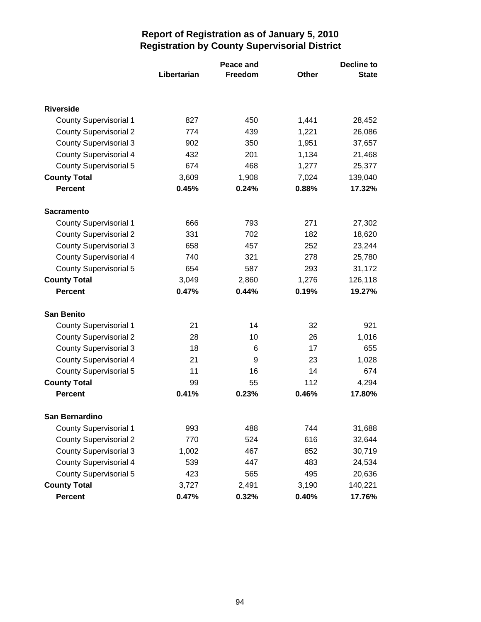|                               |             | Peace and      | <b>Decline to</b> |              |  |
|-------------------------------|-------------|----------------|-------------------|--------------|--|
|                               | Libertarian | <b>Freedom</b> | <b>Other</b>      | <b>State</b> |  |
|                               |             |                |                   |              |  |
| <b>Riverside</b>              |             |                |                   |              |  |
| <b>County Supervisorial 1</b> | 827         | 450            | 1,441             | 28,452       |  |
| <b>County Supervisorial 2</b> | 774         | 439            | 1,221             | 26,086       |  |
| <b>County Supervisorial 3</b> | 902         | 350            | 1,951             | 37,657       |  |
| County Supervisorial 4        | 432         | 201            | 1,134             | 21,468       |  |
| County Supervisorial 5        | 674         | 468            | 1,277             | 25,377       |  |
| <b>County Total</b>           | 3,609       | 1,908          | 7,024             | 139,040      |  |
| <b>Percent</b>                | 0.45%       | 0.24%          | 0.88%             | 17.32%       |  |
| <b>Sacramento</b>             |             |                |                   |              |  |
| <b>County Supervisorial 1</b> | 666         | 793            | 271               | 27,302       |  |
| <b>County Supervisorial 2</b> | 331         | 702            | 182               | 18,620       |  |
| <b>County Supervisorial 3</b> | 658         | 457            | 252               | 23,244       |  |
| <b>County Supervisorial 4</b> | 740         | 321            | 278               | 25,780       |  |
| County Supervisorial 5        | 654         | 587            | 293               | 31,172       |  |
| <b>County Total</b>           | 3,049       | 2,860          | 1,276             | 126,118      |  |
| <b>Percent</b>                | 0.47%       | 0.44%          | 0.19%             | 19.27%       |  |
| <b>San Benito</b>             |             |                |                   |              |  |
| <b>County Supervisorial 1</b> | 21          | 14             | 32                | 921          |  |
| <b>County Supervisorial 2</b> | 28          | 10             | 26                | 1,016        |  |
| <b>County Supervisorial 3</b> | 18          | 6              | 17                | 655          |  |
| <b>County Supervisorial 4</b> | 21          | 9              | 23                | 1,028        |  |
| County Supervisorial 5        | 11          | 16             | 14                | 674          |  |
| <b>County Total</b>           | 99          | 55             | 112               | 4,294        |  |
| <b>Percent</b>                | 0.41%       | 0.23%          | 0.46%             | 17.80%       |  |
| San Bernardino                |             |                |                   |              |  |
| <b>County Supervisorial 1</b> | 993         | 488            | 744               | 31,688       |  |
| <b>County Supervisorial 2</b> | 770         | 524            | 616               | 32,644       |  |
| <b>County Supervisorial 3</b> | 1,002       | 467            | 852               | 30,719       |  |
| County Supervisorial 4        | 539         | 447            | 483               | 24,534       |  |
| County Supervisorial 5        | 423         | 565            | 495               | 20,636       |  |
| <b>County Total</b>           | 3,727       | 2,491          | 3,190             | 140,221      |  |
| Percent                       | 0.47%       | 0.32%          | 0.40%             | 17.76%       |  |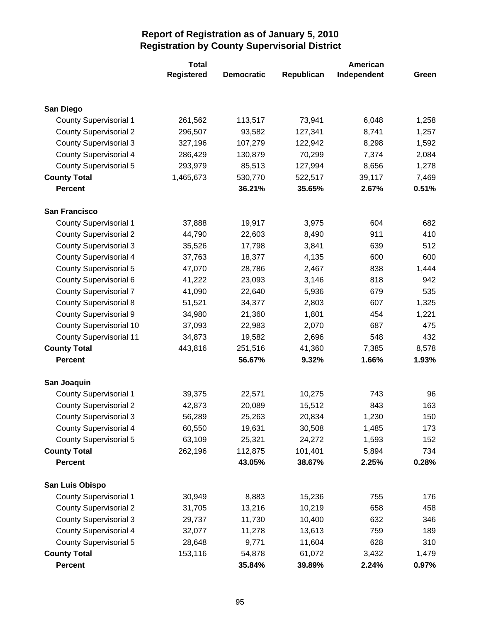|                                | <b>Total</b>      |                   |            | American    |       |
|--------------------------------|-------------------|-------------------|------------|-------------|-------|
|                                | <b>Registered</b> | <b>Democratic</b> | Republican | Independent | Green |
|                                |                   |                   |            |             |       |
| San Diego                      |                   |                   |            |             |       |
| <b>County Supervisorial 1</b>  | 261,562           | 113,517           | 73,941     | 6,048       | 1,258 |
| <b>County Supervisorial 2</b>  | 296,507           | 93,582            | 127,341    | 8,741       | 1,257 |
| <b>County Supervisorial 3</b>  | 327,196           | 107,279           | 122,942    | 8,298       | 1,592 |
| <b>County Supervisorial 4</b>  | 286,429           | 130,879           | 70,299     | 7,374       | 2,084 |
| <b>County Supervisorial 5</b>  | 293,979           | 85,513            | 127,994    | 8,656       | 1,278 |
| <b>County Total</b>            | 1,465,673         | 530,770           | 522,517    | 39,117      | 7,469 |
| <b>Percent</b>                 |                   | 36.21%            | 35.65%     | 2.67%       | 0.51% |
| <b>San Francisco</b>           |                   |                   |            |             |       |
| <b>County Supervisorial 1</b>  | 37,888            | 19,917            | 3,975      | 604         | 682   |
| <b>County Supervisorial 2</b>  | 44,790            | 22,603            | 8,490      | 911         | 410   |
| <b>County Supervisorial 3</b>  | 35,526            | 17,798            | 3,841      | 639         | 512   |
| <b>County Supervisorial 4</b>  | 37,763            | 18,377            | 4,135      | 600         | 600   |
| County Supervisorial 5         | 47,070            | 28,786            | 2,467      | 838         | 1,444 |
| County Supervisorial 6         | 41,222            | 23,093            | 3,146      | 818         | 942   |
| <b>County Supervisorial 7</b>  | 41,090            | 22,640            | 5,936      | 679         | 535   |
| <b>County Supervisorial 8</b>  | 51,521            | 34,377            | 2,803      | 607         | 1,325 |
| <b>County Supervisorial 9</b>  | 34,980            | 21,360            | 1,801      | 454         | 1,221 |
| <b>County Supervisorial 10</b> | 37,093            | 22,983            | 2,070      | 687         | 475   |
| <b>County Supervisorial 11</b> | 34,873            | 19,582            | 2,696      | 548         | 432   |
| <b>County Total</b>            | 443,816           | 251,516           | 41,360     | 7,385       | 8,578 |
| <b>Percent</b>                 |                   | 56.67%            | 9.32%      | 1.66%       | 1.93% |
| San Joaquin                    |                   |                   |            |             |       |
| <b>County Supervisorial 1</b>  | 39,375            | 22,571            | 10,275     | 743         | 96    |
| <b>County Supervisorial 2</b>  | 42,873            | 20,089            | 15,512     | 843         | 163   |
| <b>County Supervisorial 3</b>  | 56,289            | 25,263            | 20,834     | 1,230       | 150   |
| <b>County Supervisorial 4</b>  | 60,550            | 19,631            | 30,508     | 1,485       | 173   |
| <b>County Supervisorial 5</b>  | 63,109            | 25,321            | 24,272     | 1,593       | 152   |
| <b>County Total</b>            | 262,196           | 112,875           | 101,401    | 5,894       | 734   |
| <b>Percent</b>                 |                   | 43.05%            | 38.67%     | 2.25%       | 0.28% |
| San Luis Obispo                |                   |                   |            |             |       |
| <b>County Supervisorial 1</b>  | 30,949            | 8,883             | 15,236     | 755         | 176   |
| <b>County Supervisorial 2</b>  | 31,705            | 13,216            | 10,219     | 658         | 458   |
| <b>County Supervisorial 3</b>  | 29,737            | 11,730            | 10,400     | 632         | 346   |
| <b>County Supervisorial 4</b>  | 32,077            | 11,278            | 13,613     | 759         | 189   |
| <b>County Supervisorial 5</b>  | 28,648            | 9,771             | 11,604     | 628         | 310   |
| <b>County Total</b>            | 153,116           | 54,878            | 61,072     | 3,432       | 1,479 |
| Percent                        |                   | 35.84%            | 39.89%     | 2.24%       | 0.97% |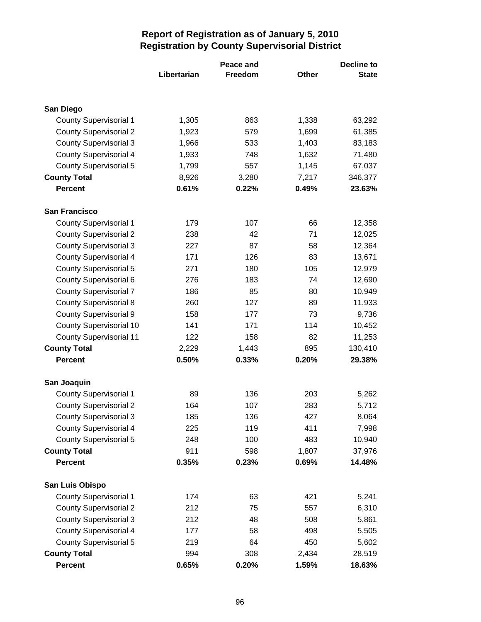|                                                                |                | Peace and  |                | <b>Decline to</b> |  |
|----------------------------------------------------------------|----------------|------------|----------------|-------------------|--|
|                                                                | Libertarian    | Freedom    | Other          | <b>State</b>      |  |
|                                                                |                |            |                |                   |  |
| San Diego                                                      |                |            |                |                   |  |
| <b>County Supervisorial 1</b>                                  | 1,305          | 863<br>579 | 1,338          | 63,292            |  |
| <b>County Supervisorial 2</b><br><b>County Supervisorial 3</b> | 1,923<br>1,966 | 533        | 1,699<br>1,403 | 61,385<br>83,183  |  |
| <b>County Supervisorial 4</b>                                  | 1,933          | 748        | 1,632          | 71,480            |  |
| <b>County Supervisorial 5</b>                                  | 1,799          | 557        | 1,145          | 67,037            |  |
| <b>County Total</b>                                            | 8,926          | 3,280      | 7,217          | 346,377           |  |
| <b>Percent</b>                                                 | 0.61%          | 0.22%      | 0.49%          | 23.63%            |  |
|                                                                |                |            |                |                   |  |
| <b>San Francisco</b>                                           |                |            |                |                   |  |
| <b>County Supervisorial 1</b>                                  | 179            | 107        | 66             | 12,358            |  |
| <b>County Supervisorial 2</b>                                  | 238            | 42         | 71             | 12,025            |  |
| <b>County Supervisorial 3</b>                                  | 227            | 87         | 58             | 12,364            |  |
| <b>County Supervisorial 4</b>                                  | 171            | 126        | 83             | 13,671            |  |
| <b>County Supervisorial 5</b>                                  | 271            | 180        | 105            | 12,979            |  |
| <b>County Supervisorial 6</b>                                  | 276            | 183        | 74             | 12,690            |  |
| <b>County Supervisorial 7</b>                                  | 186            | 85         | 80             | 10,949            |  |
| <b>County Supervisorial 8</b>                                  | 260            | 127        | 89             | 11,933            |  |
| <b>County Supervisorial 9</b>                                  | 158            | 177        | 73             | 9,736             |  |
| <b>County Supervisorial 10</b>                                 | 141            | 171        | 114            | 10,452            |  |
| <b>County Supervisorial 11</b>                                 | 122            | 158        | 82             | 11,253            |  |
| <b>County Total</b>                                            | 2,229          | 1,443      | 895            | 130,410           |  |
| <b>Percent</b>                                                 | 0.50%          | 0.33%      | 0.20%          | 29.38%            |  |
| San Joaquin                                                    |                |            |                |                   |  |
| <b>County Supervisorial 1</b>                                  | 89             | 136        | 203            | 5,262             |  |
| <b>County Supervisorial 2</b>                                  | 164            | 107        | 283            | 5,712             |  |
| <b>County Supervisorial 3</b>                                  | 185            | 136        | 427            | 8,064             |  |
| <b>County Supervisorial 4</b>                                  | 225            | 119        | 411            | 7,998             |  |
| <b>County Supervisorial 5</b>                                  | 248            | 100        | 483            | 10,940            |  |
| <b>County Total</b>                                            | 911            | 598        | 1,807          | 37,976            |  |
| <b>Percent</b>                                                 | 0.35%          | 0.23%      | 0.69%          | 14.48%            |  |
| San Luis Obispo                                                |                |            |                |                   |  |
| <b>County Supervisorial 1</b>                                  | 174            | 63         | 421            | 5,241             |  |
| <b>County Supervisorial 2</b>                                  | 212            | 75         | 557            | 6,310             |  |
| <b>County Supervisorial 3</b>                                  | 212            | 48         | 508            | 5,861             |  |
| <b>County Supervisorial 4</b>                                  | 177            | 58         | 498            | 5,505             |  |
| <b>County Supervisorial 5</b>                                  | 219            | 64         | 450            | 5,602             |  |
| <b>County Total</b>                                            | 994            | 308        | 2,434          | 28,519            |  |
| <b>Percent</b>                                                 | 0.65%          | 0.20%      | 1.59%          | 18.63%            |  |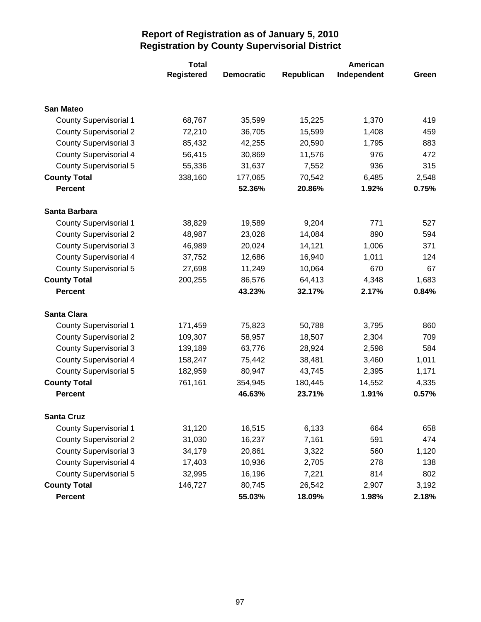|                               | <b>Total</b>      |                   |            | American    |       |  |
|-------------------------------|-------------------|-------------------|------------|-------------|-------|--|
|                               | <b>Registered</b> | <b>Democratic</b> | Republican | Independent | Green |  |
|                               |                   |                   |            |             |       |  |
| <b>San Mateo</b>              |                   |                   |            |             |       |  |
| <b>County Supervisorial 1</b> | 68,767            | 35,599            | 15,225     | 1,370       | 419   |  |
| <b>County Supervisorial 2</b> | 72,210            | 36,705            | 15,599     | 1,408       | 459   |  |
| <b>County Supervisorial 3</b> | 85,432            | 42,255            | 20,590     | 1,795       | 883   |  |
| <b>County Supervisorial 4</b> | 56,415            | 30,869            | 11,576     | 976         | 472   |  |
| <b>County Supervisorial 5</b> | 55,336            | 31,637            | 7,552      | 936         | 315   |  |
| <b>County Total</b>           | 338,160           | 177,065           | 70,542     | 6,485       | 2,548 |  |
| <b>Percent</b>                |                   | 52.36%            | 20.86%     | 1.92%       | 0.75% |  |
| Santa Barbara                 |                   |                   |            |             |       |  |
| <b>County Supervisorial 1</b> | 38,829            | 19,589            | 9,204      | 771         | 527   |  |
| <b>County Supervisorial 2</b> | 48,987            | 23,028            | 14,084     | 890         | 594   |  |
| <b>County Supervisorial 3</b> | 46,989            | 20,024            | 14,121     | 1,006       | 371   |  |
| <b>County Supervisorial 4</b> | 37,752            | 12,686            | 16,940     | 1,011       | 124   |  |
| <b>County Supervisorial 5</b> | 27,698            | 11,249            | 10,064     | 670         | 67    |  |
| <b>County Total</b>           | 200,255           | 86,576            | 64,413     | 4,348       | 1,683 |  |
| <b>Percent</b>                |                   | 43.23%            | 32.17%     | 2.17%       | 0.84% |  |
| <b>Santa Clara</b>            |                   |                   |            |             |       |  |
| <b>County Supervisorial 1</b> | 171,459           | 75,823            | 50,788     | 3,795       | 860   |  |
| <b>County Supervisorial 2</b> | 109,307           | 58,957            | 18,507     | 2,304       | 709   |  |
| <b>County Supervisorial 3</b> | 139,189           | 63,776            | 28,924     | 2,598       | 584   |  |
| <b>County Supervisorial 4</b> | 158,247           | 75,442            | 38,481     | 3,460       | 1,011 |  |
| <b>County Supervisorial 5</b> | 182,959           | 80,947            | 43,745     | 2,395       | 1,171 |  |
| <b>County Total</b>           | 761,161           | 354,945           | 180,445    | 14,552      | 4,335 |  |
| <b>Percent</b>                |                   | 46.63%            | 23.71%     | 1.91%       | 0.57% |  |
| <b>Santa Cruz</b>             |                   |                   |            |             |       |  |
| <b>County Supervisorial 1</b> | 31,120            | 16,515            | 6,133      | 664         | 658   |  |
| <b>County Supervisorial 2</b> | 31,030            | 16,237            | 7,161      | 591         | 474   |  |
| <b>County Supervisorial 3</b> | 34,179            | 20,861            | 3,322      | 560         | 1,120 |  |
| <b>County Supervisorial 4</b> | 17,403            | 10,936            | 2,705      | 278         | 138   |  |
| <b>County Supervisorial 5</b> | 32,995            | 16,196            | 7,221      | 814         | 802   |  |
| <b>County Total</b>           | 146,727           | 80,745            | 26,542     | 2,907       | 3,192 |  |
| <b>Percent</b>                |                   | 55.03%            | 18.09%     | 1.98%       | 2.18% |  |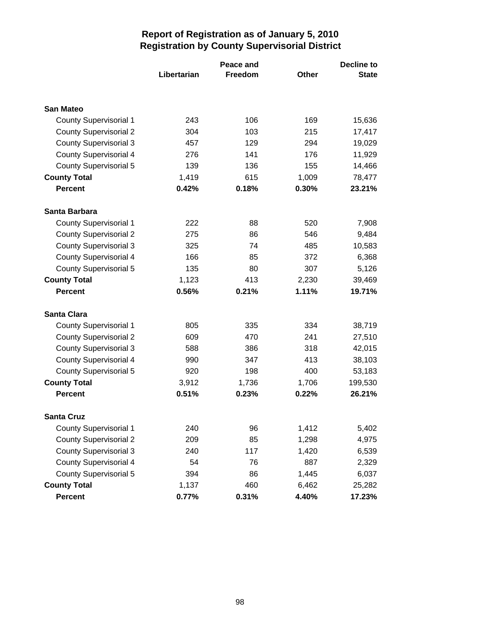|                               |             | Peace and | Decline to   |              |  |
|-------------------------------|-------------|-----------|--------------|--------------|--|
|                               | Libertarian | Freedom   | <b>Other</b> | <b>State</b> |  |
|                               |             |           |              |              |  |
| <b>San Mateo</b>              |             |           |              |              |  |
| <b>County Supervisorial 1</b> | 243         | 106       | 169          | 15,636       |  |
| <b>County Supervisorial 2</b> | 304         | 103       | 215          | 17,417       |  |
| <b>County Supervisorial 3</b> | 457         | 129       | 294          | 19,029       |  |
| <b>County Supervisorial 4</b> | 276         | 141       | 176          | 11,929       |  |
| <b>County Supervisorial 5</b> | 139         | 136       | 155          | 14,466       |  |
| <b>County Total</b>           | 1,419       | 615       | 1,009        | 78,477       |  |
| <b>Percent</b>                | 0.42%       | 0.18%     | 0.30%        | 23.21%       |  |
| Santa Barbara                 |             |           |              |              |  |
| <b>County Supervisorial 1</b> | 222         | 88        | 520          | 7,908        |  |
| <b>County Supervisorial 2</b> | 275         | 86        | 546          | 9,484        |  |
| <b>County Supervisorial 3</b> | 325         | 74        | 485          | 10,583       |  |
| <b>County Supervisorial 4</b> | 166         | 85        | 372          | 6,368        |  |
| County Supervisorial 5        | 135         | 80        | 307          | 5,126        |  |
| <b>County Total</b>           | 1,123       | 413       | 2,230        | 39,469       |  |
| <b>Percent</b>                | 0.56%       | 0.21%     | 1.11%        | 19.71%       |  |
| <b>Santa Clara</b>            |             |           |              |              |  |
| <b>County Supervisorial 1</b> | 805         | 335       | 334          | 38,719       |  |
| <b>County Supervisorial 2</b> | 609         | 470       | 241          | 27,510       |  |
| <b>County Supervisorial 3</b> | 588         | 386       | 318          | 42,015       |  |
| County Supervisorial 4        | 990         | 347       | 413          | 38,103       |  |
| <b>County Supervisorial 5</b> | 920         | 198       | 400          | 53,183       |  |
| <b>County Total</b>           | 3,912       | 1,736     | 1,706        | 199,530      |  |
| <b>Percent</b>                | 0.51%       | 0.23%     | 0.22%        | 26.21%       |  |
| <b>Santa Cruz</b>             |             |           |              |              |  |
| <b>County Supervisorial 1</b> | 240         | 96        | 1,412        | 5,402        |  |
| <b>County Supervisorial 2</b> | 209         | 85        | 1,298        | 4,975        |  |
| <b>County Supervisorial 3</b> | 240         | 117       | 1,420        | 6,539        |  |
| County Supervisorial 4        | 54          | 76        | 887          | 2,329        |  |
| County Supervisorial 5        | 394         | 86        | 1,445        | 6,037        |  |
| <b>County Total</b>           | 1,137       | 460       | 6,462        | 25,282       |  |
| Percent                       | 0.77%       | 0.31%     | 4.40%        | 17.23%       |  |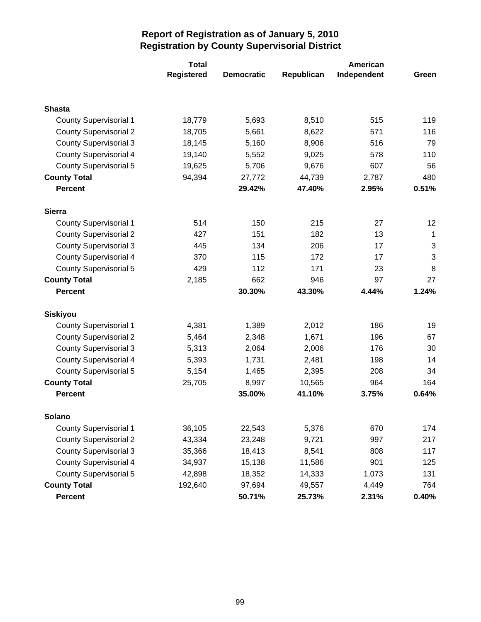|                               | <b>Total</b>      |                   |            | <b>American</b> |                           |  |
|-------------------------------|-------------------|-------------------|------------|-----------------|---------------------------|--|
|                               | <b>Registered</b> | <b>Democratic</b> | Republican | Independent     | Green                     |  |
|                               |                   |                   |            |                 |                           |  |
| <b>Shasta</b>                 |                   |                   |            |                 |                           |  |
| <b>County Supervisorial 1</b> | 18,779            | 5,693             | 8,510      | 515             | 119                       |  |
| <b>County Supervisorial 2</b> | 18,705            | 5,661             | 8,622      | 571             | 116                       |  |
| <b>County Supervisorial 3</b> | 18,145            | 5,160             | 8,906      | 516             | 79                        |  |
| <b>County Supervisorial 4</b> | 19,140            | 5,552             | 9,025      | 578             | 110                       |  |
| <b>County Supervisorial 5</b> | 19,625            | 5,706             | 9,676      | 607             | 56                        |  |
| <b>County Total</b>           | 94,394            | 27,772            | 44,739     | 2,787           | 480                       |  |
| <b>Percent</b>                |                   | 29.42%            | 47.40%     | 2.95%           | 0.51%                     |  |
| <b>Sierra</b>                 |                   |                   |            |                 |                           |  |
| <b>County Supervisorial 1</b> | 514               | 150               | 215        | 27              | 12                        |  |
| <b>County Supervisorial 2</b> | 427               | 151               | 182        | 13              | $\mathbf{1}$              |  |
| <b>County Supervisorial 3</b> | 445               | 134               | 206        | 17              | $\mathbf{3}$              |  |
| <b>County Supervisorial 4</b> | 370               | 115               | 172        | 17              | $\ensuremath{\mathsf{3}}$ |  |
| <b>County Supervisorial 5</b> | 429               | 112               | 171        | 23              | 8                         |  |
| <b>County Total</b>           | 2,185             | 662               | 946        | 97              | 27                        |  |
| <b>Percent</b>                |                   | 30.30%            | 43.30%     | 4.44%           | 1.24%                     |  |
| <b>Siskiyou</b>               |                   |                   |            |                 |                           |  |
| <b>County Supervisorial 1</b> | 4,381             | 1,389             | 2,012      | 186             | 19                        |  |
| <b>County Supervisorial 2</b> | 5,464             | 2,348             | 1,671      | 196             | 67                        |  |
| <b>County Supervisorial 3</b> | 5,313             | 2,064             | 2,006      | 176             | 30                        |  |
| <b>County Supervisorial 4</b> | 5,393             | 1,731             | 2,481      | 198             | 14                        |  |
| <b>County Supervisorial 5</b> | 5,154             | 1,465             | 2,395      | 208             | 34                        |  |
| <b>County Total</b>           | 25,705            | 8,997             | 10,565     | 964             | 164                       |  |
| <b>Percent</b>                |                   | 35.00%            | 41.10%     | 3.75%           | 0.64%                     |  |
| Solano                        |                   |                   |            |                 |                           |  |
| <b>County Supervisorial 1</b> | 36,105            | 22,543            | 5,376      | 670             | 174                       |  |
| <b>County Supervisorial 2</b> | 43,334            | 23,248            | 9,721      | 997             | 217                       |  |
| <b>County Supervisorial 3</b> | 35,366            | 18,413            | 8,541      | 808             | 117                       |  |
| <b>County Supervisorial 4</b> | 34,937            | 15,138            | 11,586     | 901             | 125                       |  |
| <b>County Supervisorial 5</b> | 42,898            | 18,352            | 14,333     | 1,073           | 131                       |  |
| <b>County Total</b>           | 192,640           | 97,694            | 49,557     | 4,449           | 764                       |  |
| Percent                       |                   | 50.71%            | 25.73%     | 2.31%           | 0.40%                     |  |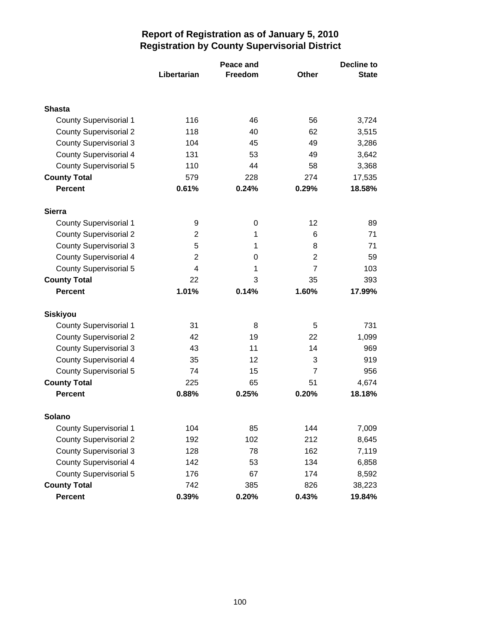|                               |                | Peace and      | <b>Decline to</b> |              |  |
|-------------------------------|----------------|----------------|-------------------|--------------|--|
|                               | Libertarian    | <b>Freedom</b> | <b>Other</b>      | <b>State</b> |  |
|                               |                |                |                   |              |  |
| <b>Shasta</b>                 |                |                |                   |              |  |
| <b>County Supervisorial 1</b> | 116            | 46             | 56                | 3,724        |  |
| <b>County Supervisorial 2</b> | 118            | 40             | 62                | 3,515        |  |
| <b>County Supervisorial 3</b> | 104            | 45             | 49                | 3,286        |  |
| County Supervisorial 4        | 131            | 53             | 49                | 3,642        |  |
| County Supervisorial 5        | 110            | 44             | 58                | 3,368        |  |
| <b>County Total</b>           | 579            | 228            | 274               | 17,535       |  |
| <b>Percent</b>                | 0.61%          | 0.24%          | 0.29%             | 18.58%       |  |
| <b>Sierra</b>                 |                |                |                   |              |  |
| <b>County Supervisorial 1</b> | 9              | 0              | 12                | 89           |  |
| <b>County Supervisorial 2</b> | $\overline{2}$ | 1              | 6                 | 71           |  |
| <b>County Supervisorial 3</b> | 5              | 1              | 8                 | 71           |  |
| <b>County Supervisorial 4</b> | $\overline{2}$ | 0              | $\overline{2}$    | 59           |  |
| County Supervisorial 5        | 4              | 1              | 7                 | 103          |  |
| <b>County Total</b>           | 22             | 3              | 35                | 393          |  |
| <b>Percent</b>                | 1.01%          | 0.14%          | 1.60%             | 17.99%       |  |
| <b>Siskiyou</b>               |                |                |                   |              |  |
| <b>County Supervisorial 1</b> | 31             | 8              | 5                 | 731          |  |
| <b>County Supervisorial 2</b> | 42             | 19             | 22                | 1,099        |  |
| <b>County Supervisorial 3</b> | 43             | 11             | 14                | 969          |  |
| <b>County Supervisorial 4</b> | 35             | 12             | 3                 | 919          |  |
| County Supervisorial 5        | 74             | 15             | 7                 | 956          |  |
| <b>County Total</b>           | 225            | 65             | 51                | 4,674        |  |
| <b>Percent</b>                | 0.88%          | 0.25%          | 0.20%             | 18.18%       |  |
| Solano                        |                |                |                   |              |  |
| <b>County Supervisorial 1</b> | 104            | 85             | 144               | 7,009        |  |
| <b>County Supervisorial 2</b> | 192            | 102            | 212               | 8,645        |  |
| <b>County Supervisorial 3</b> | 128            | 78             | 162               | 7,119        |  |
| County Supervisorial 4        | 142            | 53             | 134               | 6,858        |  |
| County Supervisorial 5        | 176            | 67             | 174               | 8,592        |  |
| <b>County Total</b>           | 742            | 385            | 826               | 38,223       |  |
| Percent                       | 0.39%          | 0.20%          | 0.43%             | 19.84%       |  |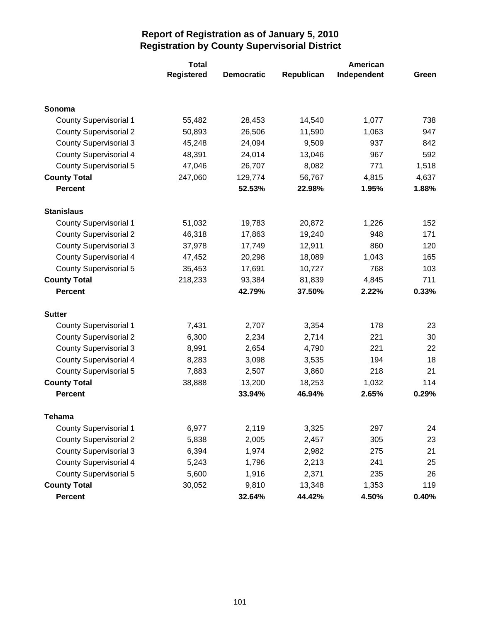|                               | <b>Total</b>      |                   |            | <b>American</b> |       |
|-------------------------------|-------------------|-------------------|------------|-----------------|-------|
|                               | <b>Registered</b> | <b>Democratic</b> | Republican | Independent     | Green |
|                               |                   |                   |            |                 |       |
| Sonoma                        |                   |                   |            |                 |       |
| <b>County Supervisorial 1</b> | 55,482            | 28,453            | 14,540     | 1,077           | 738   |
| <b>County Supervisorial 2</b> | 50,893            | 26,506            | 11,590     | 1,063           | 947   |
| <b>County Supervisorial 3</b> | 45,248            | 24,094            | 9,509      | 937             | 842   |
| <b>County Supervisorial 4</b> | 48,391            | 24,014            | 13,046     | 967             | 592   |
| <b>County Supervisorial 5</b> | 47,046            | 26,707            | 8,082      | 771             | 1,518 |
| <b>County Total</b>           | 247,060           | 129,774           | 56,767     | 4,815           | 4,637 |
| <b>Percent</b>                |                   | 52.53%            | 22.98%     | 1.95%           | 1.88% |
| <b>Stanislaus</b>             |                   |                   |            |                 |       |
| <b>County Supervisorial 1</b> | 51,032            | 19,783            | 20,872     | 1,226           | 152   |
| <b>County Supervisorial 2</b> | 46,318            | 17,863            | 19,240     | 948             | 171   |
| <b>County Supervisorial 3</b> | 37,978            | 17,749            | 12,911     | 860             | 120   |
| <b>County Supervisorial 4</b> | 47,452            | 20,298            | 18,089     | 1,043           | 165   |
| <b>County Supervisorial 5</b> | 35,453            | 17,691            | 10,727     | 768             | 103   |
| <b>County Total</b>           | 218,233           | 93,384            | 81,839     | 4,845           | 711   |
| <b>Percent</b>                |                   | 42.79%            | 37.50%     | 2.22%           | 0.33% |
| <b>Sutter</b>                 |                   |                   |            |                 |       |
| <b>County Supervisorial 1</b> | 7,431             | 2,707             | 3,354      | 178             | 23    |
| <b>County Supervisorial 2</b> | 6,300             | 2,234             | 2,714      | 221             | 30    |
| <b>County Supervisorial 3</b> | 8,991             | 2,654             | 4,790      | 221             | 22    |
| <b>County Supervisorial 4</b> | 8,283             | 3,098             | 3,535      | 194             | 18    |
| <b>County Supervisorial 5</b> | 7,883             | 2,507             | 3,860      | 218             | 21    |
| <b>County Total</b>           | 38,888            | 13,200            | 18,253     | 1,032           | 114   |
| <b>Percent</b>                |                   | 33.94%            | 46.94%     | 2.65%           | 0.29% |
| <b>Tehama</b>                 |                   |                   |            |                 |       |
| <b>County Supervisorial 1</b> | 6,977             | 2,119             | 3,325      | 297             | 24    |
| <b>County Supervisorial 2</b> | 5,838             | 2,005             | 2,457      | 305             | 23    |
| <b>County Supervisorial 3</b> | 6,394             | 1,974             | 2,982      | 275             | 21    |
| <b>County Supervisorial 4</b> | 5,243             | 1,796             | 2,213      | 241             | 25    |
| <b>County Supervisorial 5</b> | 5,600             | 1,916             | 2,371      | 235             | 26    |
| <b>County Total</b>           | 30,052            | 9,810             | 13,348     | 1,353           | 119   |
| <b>Percent</b>                |                   | 32.64%            | 44.42%     | 4.50%           | 0.40% |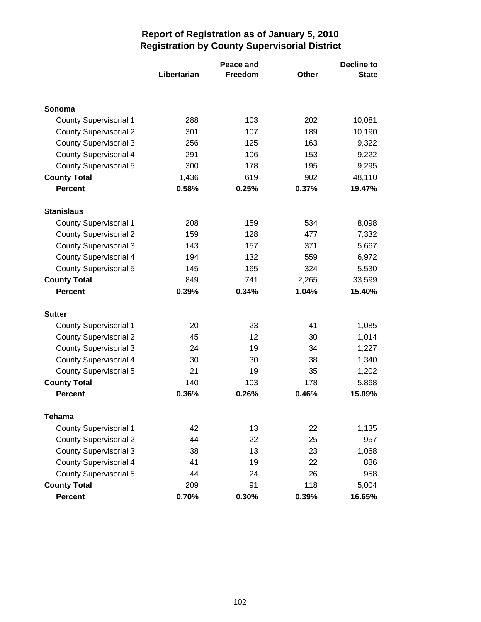|                               | Peace and   |         |              | <b>Decline to</b> |  |
|-------------------------------|-------------|---------|--------------|-------------------|--|
|                               | Libertarian | Freedom | <b>Other</b> | <b>State</b>      |  |
|                               |             |         |              |                   |  |
| Sonoma                        |             |         |              |                   |  |
| <b>County Supervisorial 1</b> | 288         | 103     | 202          | 10,081            |  |
| <b>County Supervisorial 2</b> | 301         | 107     | 189          | 10,190            |  |
| <b>County Supervisorial 3</b> | 256         | 125     | 163          | 9,322             |  |
| <b>County Supervisorial 4</b> | 291         | 106     | 153          | 9,222             |  |
| County Supervisorial 5        | 300         | 178     | 195          | 9,295             |  |
| <b>County Total</b>           | 1,436       | 619     | 902          | 48,110            |  |
| <b>Percent</b>                | 0.58%       | 0.25%   | 0.37%        | 19.47%            |  |
| <b>Stanislaus</b>             |             |         |              |                   |  |
| <b>County Supervisorial 1</b> | 208         | 159     | 534          | 8,098             |  |
| <b>County Supervisorial 2</b> | 159         | 128     | 477          | 7,332             |  |
| <b>County Supervisorial 3</b> | 143         | 157     | 371          | 5,667             |  |
| <b>County Supervisorial 4</b> | 194         | 132     | 559          | 6,972             |  |
| County Supervisorial 5        | 145         | 165     | 324          | 5,530             |  |
| <b>County Total</b>           | 849         | 741     | 2,265        | 33,599            |  |
| <b>Percent</b>                | 0.39%       | 0.34%   | 1.04%        | 15.40%            |  |
| <b>Sutter</b>                 |             |         |              |                   |  |
| <b>County Supervisorial 1</b> | 20          | 23      | 41           | 1,085             |  |
| <b>County Supervisorial 2</b> | 45          | 12      | 30           | 1,014             |  |
| <b>County Supervisorial 3</b> | 24          | 19      | 34           | 1,227             |  |
| <b>County Supervisorial 4</b> | 30          | 30      | 38           | 1,340             |  |
| County Supervisorial 5        | 21          | 19      | 35           | 1,202             |  |
| <b>County Total</b>           | 140         | 103     | 178          | 5,868             |  |
| <b>Percent</b>                | 0.36%       | 0.26%   | 0.46%        | 15.09%            |  |
| <b>Tehama</b>                 |             |         |              |                   |  |
| <b>County Supervisorial 1</b> | 42          | 13      | 22           | 1,135             |  |
| <b>County Supervisorial 2</b> | 44          | 22      | 25           | 957               |  |
| <b>County Supervisorial 3</b> | 38          | 13      | 23           | 1,068             |  |
| <b>County Supervisorial 4</b> | 41          | 19      | 22           | 886               |  |
| County Supervisorial 5        | 44          | 24      | 26           | 958               |  |
| <b>County Total</b>           | 209         | 91      | 118          | 5,004             |  |
| Percent                       | 0.70%       | 0.30%   | 0.39%        | 16.65%            |  |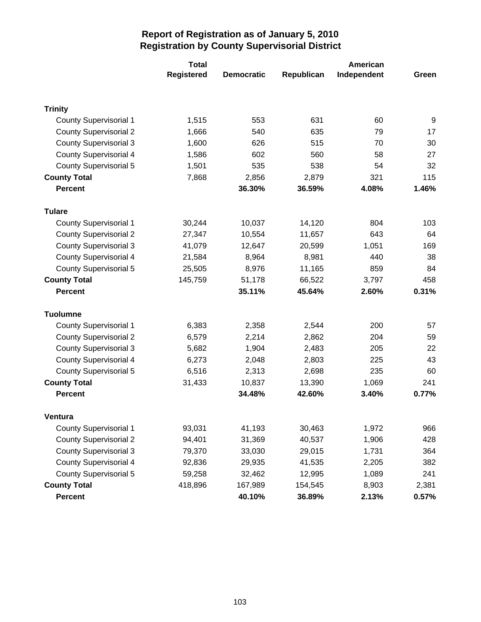|                               | <b>Total</b>      |                   | <b>American</b> |             |       |
|-------------------------------|-------------------|-------------------|-----------------|-------------|-------|
|                               | <b>Registered</b> | <b>Democratic</b> | Republican      | Independent | Green |
|                               |                   |                   |                 |             |       |
| <b>Trinity</b>                |                   |                   |                 |             |       |
| <b>County Supervisorial 1</b> | 1,515             | 553               | 631             | 60          | 9     |
| <b>County Supervisorial 2</b> | 1,666             | 540               | 635             | 79          | 17    |
| <b>County Supervisorial 3</b> | 1,600             | 626               | 515             | 70          | 30    |
| <b>County Supervisorial 4</b> | 1,586             | 602               | 560             | 58          | 27    |
| <b>County Supervisorial 5</b> | 1,501             | 535               | 538             | 54          | 32    |
| <b>County Total</b>           | 7,868             | 2,856             | 2,879           | 321         | 115   |
| <b>Percent</b>                |                   | 36.30%            | 36.59%          | 4.08%       | 1.46% |
| <b>Tulare</b>                 |                   |                   |                 |             |       |
| <b>County Supervisorial 1</b> | 30,244            | 10,037            | 14,120          | 804         | 103   |
| <b>County Supervisorial 2</b> | 27,347            | 10,554            | 11,657          | 643         | 64    |
| <b>County Supervisorial 3</b> | 41,079            | 12,647            | 20,599          | 1,051       | 169   |
| <b>County Supervisorial 4</b> | 21,584            | 8,964             | 8,981           | 440         | 38    |
| <b>County Supervisorial 5</b> | 25,505            | 8,976             | 11,165          | 859         | 84    |
| <b>County Total</b>           | 145,759           | 51,178            | 66,522          | 3,797       | 458   |
| <b>Percent</b>                |                   | 35.11%            | 45.64%          | 2.60%       | 0.31% |
| <b>Tuolumne</b>               |                   |                   |                 |             |       |
| <b>County Supervisorial 1</b> | 6,383             | 2,358             | 2,544           | 200         | 57    |
| <b>County Supervisorial 2</b> | 6,579             | 2,214             | 2,862           | 204         | 59    |
| <b>County Supervisorial 3</b> | 5,682             | 1,904             | 2,483           | 205         | 22    |
| <b>County Supervisorial 4</b> | 6,273             | 2,048             | 2,803           | 225         | 43    |
| County Supervisorial 5        | 6,516             | 2,313             | 2,698           | 235         | 60    |
| <b>County Total</b>           | 31,433            | 10,837            | 13,390          | 1,069       | 241   |
| <b>Percent</b>                |                   | 34.48%            | 42.60%          | 3.40%       | 0.77% |
| Ventura                       |                   |                   |                 |             |       |
| <b>County Supervisorial 1</b> | 93,031            | 41,193            | 30,463          | 1,972       | 966   |
| <b>County Supervisorial 2</b> | 94,401            | 31,369            | 40,537          | 1,906       | 428   |
| <b>County Supervisorial 3</b> | 79,370            | 33,030            | 29,015          | 1,731       | 364   |
| <b>County Supervisorial 4</b> | 92,836            | 29,935            | 41,535          | 2,205       | 382   |
| <b>County Supervisorial 5</b> | 59,258            | 32,462            | 12,995          | 1,089       | 241   |
| <b>County Total</b>           | 418,896           | 167,989           | 154,545         | 8,903       | 2,381 |
| <b>Percent</b>                |                   | 40.10%            | 36.89%          | 2.13%       | 0.57% |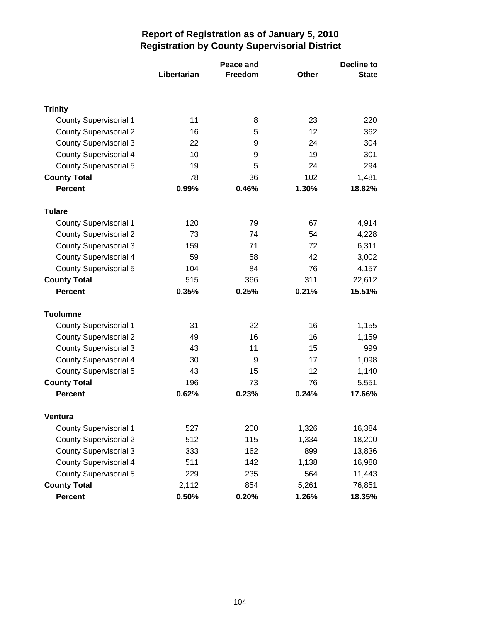|                               |             | Peace and |              | <b>Decline to</b> |
|-------------------------------|-------------|-----------|--------------|-------------------|
|                               | Libertarian | Freedom   | <b>Other</b> | <b>State</b>      |
|                               |             |           |              |                   |
| <b>Trinity</b>                |             |           |              |                   |
| <b>County Supervisorial 1</b> | 11          | 8         | 23           | 220               |
| <b>County Supervisorial 2</b> | 16          | 5         | 12           | 362               |
| <b>County Supervisorial 3</b> | 22          | 9         | 24           | 304               |
| <b>County Supervisorial 4</b> | 10          | 9         | 19           | 301               |
| <b>County Supervisorial 5</b> | 19          | 5         | 24           | 294               |
| <b>County Total</b>           | 78          | 36        | 102          | 1,481             |
| <b>Percent</b>                | 0.99%       | 0.46%     | 1.30%        | 18.82%            |
| <b>Tulare</b>                 |             |           |              |                   |
| <b>County Supervisorial 1</b> | 120         | 79        | 67           | 4,914             |
| <b>County Supervisorial 2</b> | 73          | 74        | 54           | 4,228             |
| <b>County Supervisorial 3</b> | 159         | 71        | 72           | 6,311             |
| <b>County Supervisorial 4</b> | 59          | 58        | 42           | 3,002             |
| <b>County Supervisorial 5</b> | 104         | 84        | 76           | 4,157             |
| <b>County Total</b>           | 515         | 366       | 311          | 22,612            |
| <b>Percent</b>                | 0.35%       | 0.25%     | 0.21%        | 15.51%            |
| <b>Tuolumne</b>               |             |           |              |                   |
| <b>County Supervisorial 1</b> | 31          | 22        | 16           | 1,155             |
| <b>County Supervisorial 2</b> | 49          | 16        | 16           | 1,159             |
| <b>County Supervisorial 3</b> | 43          | 11        | 15           | 999               |
| <b>County Supervisorial 4</b> | 30          | 9         | 17           | 1,098             |
| <b>County Supervisorial 5</b> | 43          | 15        | 12           | 1,140             |
| <b>County Total</b>           | 196         | 73        | 76           | 5,551             |
| <b>Percent</b>                | 0.62%       | 0.23%     | 0.24%        | 17.66%            |
| Ventura                       |             |           |              |                   |
| <b>County Supervisorial 1</b> | 527         | 200       | 1,326        | 16,384            |
| <b>County Supervisorial 2</b> | 512         | 115       | 1,334        | 18,200            |
| <b>County Supervisorial 3</b> | 333         | 162       | 899          | 13,836            |
| <b>County Supervisorial 4</b> | 511         | 142       | 1,138        | 16,988            |
| County Supervisorial 5        | 229         | 235       | 564          | 11,443            |
| <b>County Total</b>           | 2,112       | 854       | 5,261        | 76,851            |
| Percent                       | 0.50%       | 0.20%     | 1.26%        | 18.35%            |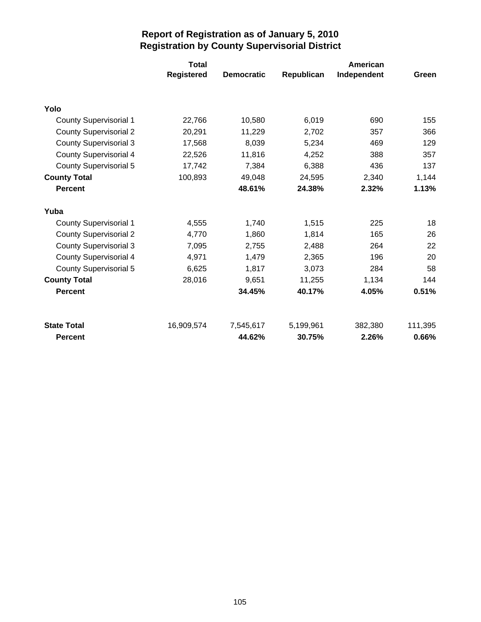|                               | <b>Total</b> |                   |            | American    |         |
|-------------------------------|--------------|-------------------|------------|-------------|---------|
|                               | Registered   | <b>Democratic</b> | Republican | Independent | Green   |
|                               |              |                   |            |             |         |
| Yolo                          |              |                   |            |             |         |
| <b>County Supervisorial 1</b> | 22,766       | 10,580            | 6,019      | 690         | 155     |
| <b>County Supervisorial 2</b> | 20,291       | 11,229            | 2,702      | 357         | 366     |
| <b>County Supervisorial 3</b> | 17,568       | 8,039             | 5,234      | 469         | 129     |
| County Supervisorial 4        | 22,526       | 11,816            | 4,252      | 388         | 357     |
| <b>County Supervisorial 5</b> | 17,742       | 7,384             | 6,388      | 436         | 137     |
| <b>County Total</b>           | 100,893      | 49,048            | 24,595     | 2,340       | 1,144   |
| <b>Percent</b>                |              | 48.61%            | 24.38%     | 2.32%       | 1.13%   |
| Yuba                          |              |                   |            |             |         |
| <b>County Supervisorial 1</b> | 4,555        | 1,740             | 1,515      | 225         | 18      |
| <b>County Supervisorial 2</b> | 4,770        | 1,860             | 1,814      | 165         | 26      |
| <b>County Supervisorial 3</b> | 7,095        | 2,755             | 2,488      | 264         | 22      |
| <b>County Supervisorial 4</b> | 4,971        | 1,479             | 2,365      | 196         | 20      |
| County Supervisorial 5        | 6,625        | 1,817             | 3,073      | 284         | 58      |
| <b>County Total</b>           | 28,016       | 9,651             | 11,255     | 1,134       | 144     |
| <b>Percent</b>                |              | 34.45%            | 40.17%     | 4.05%       | 0.51%   |
| <b>State Total</b>            | 16,909,574   | 7,545,617         | 5,199,961  | 382,380     | 111,395 |
| <b>Percent</b>                |              | 44.62%            | 30.75%     | 2.26%       | 0.66%   |